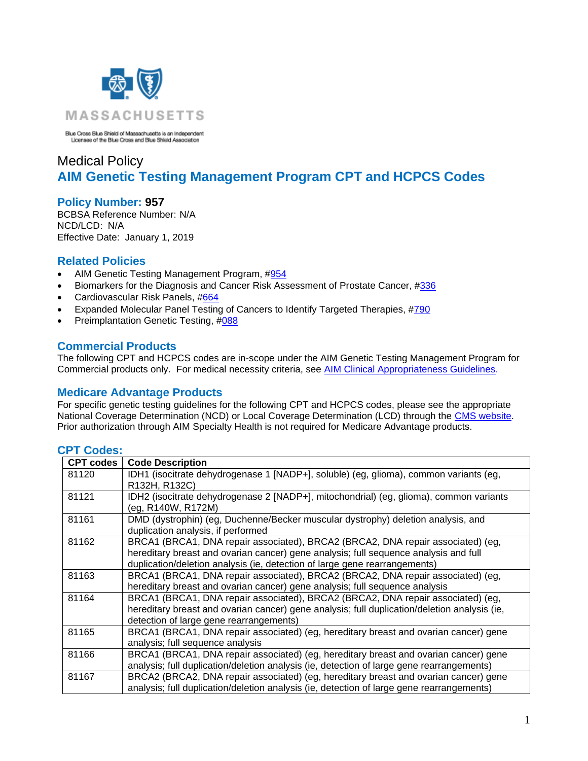

Blue Cross Blue Shield of Massachusetts is an Independent<br>Licensee of the Blue Cross and Blue Shield Association

# Medical Policy **AIM Genetic Testing Management Program CPT and HCPCS Codes**

### **Policy Number: 957**

BCBSA Reference Number: N/A NCD/LCD: N/A Effective Date: January 1, 2019

## **Related Policies**

- AIM Genetic Testing Management Program, #954
- Biomarkers for the Diagnosis and Cancer Risk Assessment of Prostate Cancer, [#336](https://www.bluecrossma.org/medical-policies/sites/g/files/csphws2091/files/acquiadam-assets/336%20Biomarkers%20for%20Diagnosis%20%26%20Cancer%20Risk%20Assessment%20of%20Prostate%20Cancer%20prn.pdf)
- Cardiovascular Risk Panels, [#664](https://www.bluecrossma.org/medical-policies/sites/g/files/csphws2091/files/acquiadam-assets/664%20Cardiovascular%20Risk%20Panels%20prn.pdf)
- Expanded Molecular Panel Testing of Cancers to Identify Targeted Therapies, [#790](https://www.bluecrossma.org/medical-policies/sites/g/files/csphws2091/files/acquiadam-assets/790Molecular_Panel_Testing_Cancers.pdf)
- Preimplantation Genetic Testing, [#088](https://www.bluecrossma.org/medical-policies/sites/g/files/csphws2091/files/acquiadam-assets/088%20Preimplantation%20Genetic%20Testing%20prn.pdf)

#### **Commercial Products**

The following CPT and HCPCS codes are in-scope under the AIM Genetic Testing Management Program for Commercial products only. For medical necessity criteria, see [AIM Clinical Appropriateness Guidelines.](http://www.aimspecialtyhealth.com/CG-GeneticTesting.html)

### **Medicare Advantage Products**

For specific genetic testing guidelines for the following CPT and HCPCS codes, please see the appropriate National Coverage Determination (NCD) or Local Coverage Determination (LCD) through the [CMS website.](https://www.cms.gov/) Prior authorization through AIM Specialty Health is not required for Medicare Advantage products.

### **CPT Codes:**

| <b>CPT codes</b> | <b>Code Description</b>                                                                      |
|------------------|----------------------------------------------------------------------------------------------|
| 81120            | IDH1 (isocitrate dehydrogenase 1 [NADP+], soluble) (eg, glioma), common variants (eg,        |
|                  | R132H, R132C)                                                                                |
| 81121            | IDH2 (isocitrate dehydrogenase 2 [NADP+], mitochondrial) (eg, glioma), common variants       |
|                  | (eg, R140W, R172M)                                                                           |
| 81161            | DMD (dystrophin) (eg, Duchenne/Becker muscular dystrophy) deletion analysis, and             |
|                  | duplication analysis, if performed                                                           |
| 81162            | BRCA1 (BRCA1, DNA repair associated), BRCA2 (BRCA2, DNA repair associated) (eg,              |
|                  | hereditary breast and ovarian cancer) gene analysis; full sequence analysis and full         |
|                  | duplication/deletion analysis (ie, detection of large gene rearrangements)                   |
| 81163            | BRCA1 (BRCA1, DNA repair associated), BRCA2 (BRCA2, DNA repair associated) (eg,              |
|                  | hereditary breast and ovarian cancer) gene analysis; full sequence analysis                  |
| 81164            | BRCA1 (BRCA1, DNA repair associated), BRCA2 (BRCA2, DNA repair associated) (eg,              |
|                  | hereditary breast and ovarian cancer) gene analysis; full duplication/deletion analysis (ie, |
|                  | detection of large gene rearrangements)                                                      |
| 81165            | BRCA1 (BRCA1, DNA repair associated) (eg, hereditary breast and ovarian cancer) gene         |
|                  | analysis; full sequence analysis                                                             |
| 81166            | BRCA1 (BRCA1, DNA repair associated) (eg, hereditary breast and ovarian cancer) gene         |
|                  | analysis; full duplication/deletion analysis (ie, detection of large gene rearrangements)    |
| 81167            | BRCA2 (BRCA2, DNA repair associated) (eg, hereditary breast and ovarian cancer) gene         |
|                  | analysis; full duplication/deletion analysis (ie, detection of large gene rearrangements)    |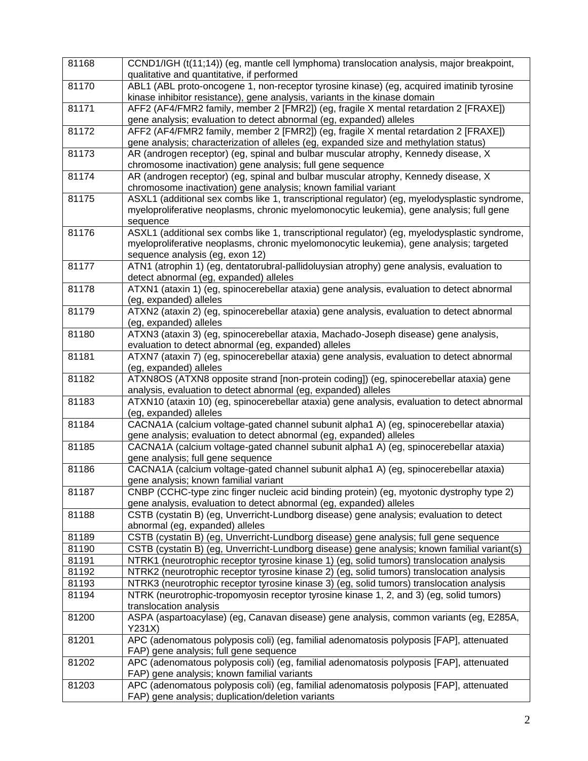| 81168 | CCND1/IGH (t(11;14)) (eg, mantle cell lymphoma) translocation analysis, major breakpoint,<br>qualitative and quantitative, if performed                                                                                     |
|-------|-----------------------------------------------------------------------------------------------------------------------------------------------------------------------------------------------------------------------------|
| 81170 | ABL1 (ABL proto-oncogene 1, non-receptor tyrosine kinase) (eg, acquired imatinib tyrosine<br>kinase inhibitor resistance), gene analysis, variants in the kinase domain                                                     |
| 81171 | AFF2 (AF4/FMR2 family, member 2 [FMR2]) (eg, fragile X mental retardation 2 [FRAXE])<br>gene analysis; evaluation to detect abnormal (eg, expanded) alleles                                                                 |
| 81172 | AFF2 (AF4/FMR2 family, member 2 [FMR2]) (eg, fragile X mental retardation 2 [FRAXE])<br>gene analysis; characterization of alleles (eg, expanded size and methylation status)                                               |
| 81173 | AR (androgen receptor) (eg, spinal and bulbar muscular atrophy, Kennedy disease, X<br>chromosome inactivation) gene analysis; full gene sequence                                                                            |
| 81174 | AR (androgen receptor) (eg, spinal and bulbar muscular atrophy, Kennedy disease, X<br>chromosome inactivation) gene analysis; known familial variant                                                                        |
| 81175 | ASXL1 (additional sex combs like 1, transcriptional regulator) (eg, myelodysplastic syndrome,<br>myeloproliferative neoplasms, chronic myelomonocytic leukemia), gene analysis; full gene<br>sequence                       |
| 81176 | ASXL1 (additional sex combs like 1, transcriptional regulator) (eg, myelodysplastic syndrome,<br>myeloproliferative neoplasms, chronic myelomonocytic leukemia), gene analysis; targeted<br>sequence analysis (eg, exon 12) |
| 81177 | ATN1 (atrophin 1) (eg, dentatorubral-pallidoluysian atrophy) gene analysis, evaluation to<br>detect abnormal (eg, expanded) alleles                                                                                         |
| 81178 | ATXN1 (ataxin 1) (eg, spinocerebellar ataxia) gene analysis, evaluation to detect abnormal<br>(eg, expanded) alleles                                                                                                        |
| 81179 | ATXN2 (ataxin 2) (eg, spinocerebellar ataxia) gene analysis, evaluation to detect abnormal<br>(eg, expanded) alleles                                                                                                        |
| 81180 | ATXN3 (ataxin 3) (eg, spinocerebellar ataxia, Machado-Joseph disease) gene analysis,<br>evaluation to detect abnormal (eg, expanded) alleles                                                                                |
| 81181 | ATXN7 (ataxin 7) (eg, spinocerebellar ataxia) gene analysis, evaluation to detect abnormal<br>(eg, expanded) alleles                                                                                                        |
| 81182 | ATXN8OS (ATXN8 opposite strand [non-protein coding]) (eg, spinocerebellar ataxia) gene<br>analysis, evaluation to detect abnormal (eg, expanded) alleles                                                                    |
| 81183 | ATXN10 (ataxin 10) (eg, spinocerebellar ataxia) gene analysis, evaluation to detect abnormal<br>(eg, expanded) alleles                                                                                                      |
| 81184 | CACNA1A (calcium voltage-gated channel subunit alpha1 A) (eg, spinocerebellar ataxia)<br>gene analysis; evaluation to detect abnormal (eg, expanded) alleles                                                                |
| 81185 | CACNA1A (calcium voltage-gated channel subunit alpha1 A) (eg, spinocerebellar ataxia)<br>gene analysis; full gene sequence                                                                                                  |
| 81186 | CACNA1A (calcium voltage-gated channel subunit alpha1 A) (eg, spinocerebellar ataxia)<br>gene analysis; known familial variant                                                                                              |
| 81187 | CNBP (CCHC-type zinc finger nucleic acid binding protein) (eg, myotonic dystrophy type 2)<br>gene analysis, evaluation to detect abnormal (eg, expanded) alleles                                                            |
| 81188 | CSTB (cystatin B) (eg, Unverricht-Lundborg disease) gene analysis; evaluation to detect<br>abnormal (eg, expanded) alleles                                                                                                  |
| 81189 | CSTB (cystatin B) (eg, Unverricht-Lundborg disease) gene analysis; full gene sequence                                                                                                                                       |
| 81190 | CSTB (cystatin B) (eg, Unverricht-Lundborg disease) gene analysis; known familial variant(s)                                                                                                                                |
| 81191 | NTRK1 (neurotrophic receptor tyrosine kinase 1) (eg, solid tumors) translocation analysis                                                                                                                                   |
| 81192 | NTRK2 (neurotrophic receptor tyrosine kinase 2) (eg, solid tumors) translocation analysis                                                                                                                                   |
| 81193 | NTRK3 (neurotrophic receptor tyrosine kinase 3) (eg, solid tumors) translocation analysis                                                                                                                                   |
| 81194 | NTRK (neurotrophic-tropomyosin receptor tyrosine kinase 1, 2, and 3) (eg, solid tumors)<br>translocation analysis                                                                                                           |
| 81200 | ASPA (aspartoacylase) (eg, Canavan disease) gene analysis, common variants (eg, E285A,<br>Y231X)                                                                                                                            |
| 81201 | APC (adenomatous polyposis coli) (eg, familial adenomatosis polyposis [FAP], attenuated<br>FAP) gene analysis; full gene sequence                                                                                           |
| 81202 | APC (adenomatous polyposis coli) (eg, familial adenomatosis polyposis [FAP], attenuated<br>FAP) gene analysis; known familial variants                                                                                      |
| 81203 | APC (adenomatous polyposis coli) (eg, familial adenomatosis polyposis [FAP], attenuated<br>FAP) gene analysis; duplication/deletion variants                                                                                |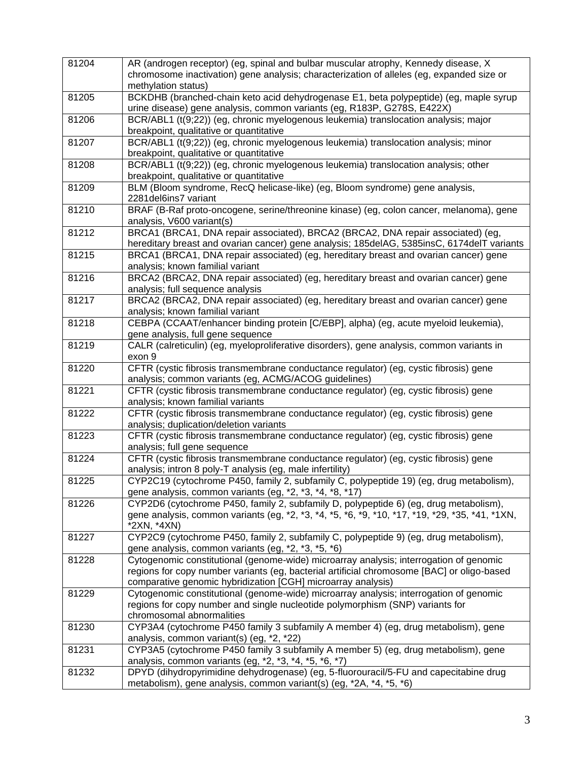| 81204 | AR (androgen receptor) (eg, spinal and bulbar muscular atrophy, Kennedy disease, X                                                                                                       |
|-------|------------------------------------------------------------------------------------------------------------------------------------------------------------------------------------------|
|       | chromosome inactivation) gene analysis; characterization of alleles (eg, expanded size or<br>methylation status)                                                                         |
| 81205 | BCKDHB (branched-chain keto acid dehydrogenase E1, beta polypeptide) (eg, maple syrup<br>urine disease) gene analysis, common variants (eg, R183P, G278S, E422X)                         |
| 81206 | BCR/ABL1 (t(9;22)) (eg, chronic myelogenous leukemia) translocation analysis; major<br>breakpoint, qualitative or quantitative                                                           |
| 81207 | BCR/ABL1 (t(9;22)) (eg, chronic myelogenous leukemia) translocation analysis; minor<br>breakpoint, qualitative or quantitative                                                           |
| 81208 | BCR/ABL1 (t(9;22)) (eg, chronic myelogenous leukemia) translocation analysis; other<br>breakpoint, qualitative or quantitative                                                           |
| 81209 | BLM (Bloom syndrome, RecQ helicase-like) (eg, Bloom syndrome) gene analysis,<br>2281 del 6 ins 7 variant                                                                                 |
| 81210 | BRAF (B-Raf proto-oncogene, serine/threonine kinase) (eg, colon cancer, melanoma), gene<br>analysis, V600 variant(s)                                                                     |
| 81212 | BRCA1 (BRCA1, DNA repair associated), BRCA2 (BRCA2, DNA repair associated) (eg,<br>hereditary breast and ovarian cancer) gene analysis; 185delAG, 5385insC, 6174delT variants            |
| 81215 | BRCA1 (BRCA1, DNA repair associated) (eg, hereditary breast and ovarian cancer) gene<br>analysis; known familial variant                                                                 |
| 81216 | BRCA2 (BRCA2, DNA repair associated) (eg, hereditary breast and ovarian cancer) gene<br>analysis; full sequence analysis                                                                 |
| 81217 | BRCA2 (BRCA2, DNA repair associated) (eg, hereditary breast and ovarian cancer) gene<br>analysis; known familial variant                                                                 |
| 81218 | CEBPA (CCAAT/enhancer binding protein [C/EBP], alpha) (eg, acute myeloid leukemia),<br>gene analysis, full gene sequence                                                                 |
| 81219 | CALR (calreticulin) (eg, myeloproliferative disorders), gene analysis, common variants in<br>exon 9                                                                                      |
| 81220 | CFTR (cystic fibrosis transmembrane conductance regulator) (eg, cystic fibrosis) gene<br>analysis; common variants (eg, ACMG/ACOG guidelines)                                            |
| 81221 | CFTR (cystic fibrosis transmembrane conductance regulator) (eg, cystic fibrosis) gene<br>analysis; known familial variants                                                               |
| 81222 | CFTR (cystic fibrosis transmembrane conductance regulator) (eg, cystic fibrosis) gene<br>analysis; duplication/deletion variants                                                         |
| 81223 | CFTR (cystic fibrosis transmembrane conductance regulator) (eg, cystic fibrosis) gene<br>analysis; full gene sequence                                                                    |
| 81224 | CFTR (cystic fibrosis transmembrane conductance regulator) (eg, cystic fibrosis) gene<br>analysis; intron 8 poly-T analysis (eg, male infertility)                                       |
| 81225 | CYP2C19 (cytochrome P450, family 2, subfamily C, polypeptide 19) (eg, drug metabolism),<br>gene analysis, common variants (eg, *2, *3, *4, *8, *17)                                      |
| 81226 | CYP2D6 (cytochrome P450, family 2, subfamily D, polypeptide 6) (eq, drug metabolism),<br>gene analysis, common variants (eg, *2, *3, *4, *5, *6, *9, *10, *17, *19, *29, *35, *41, *1XN, |
| 81227 | *2XN, *4XN)                                                                                                                                                                              |
|       | CYP2C9 (cytochrome P450, family 2, subfamily C, polypeptide 9) (eg, drug metabolism),<br>gene analysis, common variants (eg, *2, *3, *5, *6)                                             |
| 81228 | Cytogenomic constitutional (genome-wide) microarray analysis; interrogation of genomic<br>regions for copy number variants (eg, bacterial artificial chromosome [BAC] or oligo-based     |
| 81229 | comparative genomic hybridization [CGH] microarray analysis)<br>Cytogenomic constitutional (genome-wide) microarray analysis; interrogation of genomic                                   |
|       | regions for copy number and single nucleotide polymorphism (SNP) variants for<br>chromosomal abnormalities                                                                               |
| 81230 | CYP3A4 (cytochrome P450 family 3 subfamily A member 4) (eg, drug metabolism), gene<br>analysis, common variant(s) (eg, *2, *22)                                                          |
| 81231 | CYP3A5 (cytochrome P450 family 3 subfamily A member 5) (eg, drug metabolism), gene<br>analysis, common variants (eg, *2, *3, *4, *5, *6, *7)                                             |
| 81232 | DPYD (dihydropyrimidine dehydrogenase) (eg, 5-fluorouracil/5-FU and capecitabine drug<br>metabolism), gene analysis, common variant(s) (eg, *2A, *4, *5, *6)                             |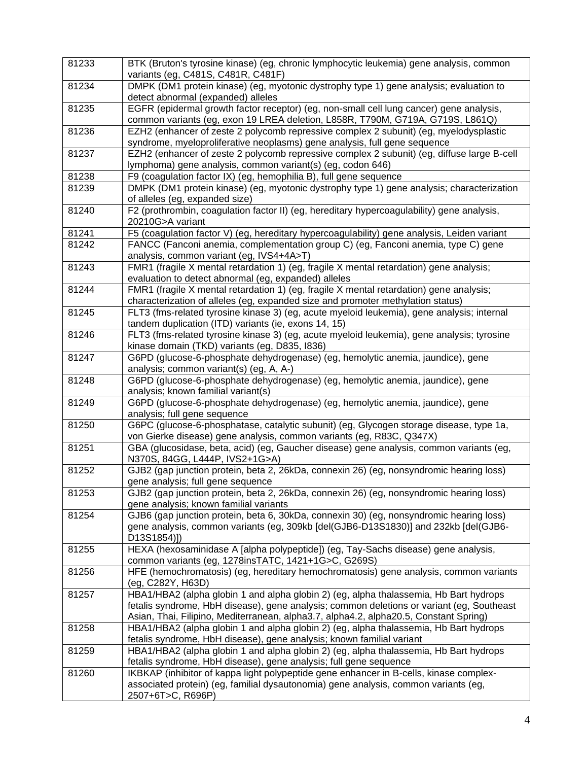| 81233 | BTK (Bruton's tyrosine kinase) (eg, chronic lymphocytic leukemia) gene analysis, common<br>variants (eg, C481S, C481R, C481F)                                                                 |
|-------|-----------------------------------------------------------------------------------------------------------------------------------------------------------------------------------------------|
| 81234 | DMPK (DM1 protein kinase) (eg, myotonic dystrophy type 1) gene analysis; evaluation to<br>detect abnormal (expanded) alleles                                                                  |
| 81235 | EGFR (epidermal growth factor receptor) (eg, non-small cell lung cancer) gene analysis,<br>common variants (eg, exon 19 LREA deletion, L858R, T790M, G719A, G719S, L861Q)                     |
| 81236 | EZH2 (enhancer of zeste 2 polycomb repressive complex 2 subunit) (eg, myelodysplastic<br>syndrome, myeloproliferative neoplasms) gene analysis, full gene sequence                            |
| 81237 | EZH2 (enhancer of zeste 2 polycomb repressive complex 2 subunit) (eg, diffuse large B-cell<br>lymphoma) gene analysis, common variant(s) (eg, codon 646)                                      |
| 81238 | F9 (coagulation factor IX) (eg, hemophilia B), full gene sequence                                                                                                                             |
| 81239 | DMPK (DM1 protein kinase) (eg, myotonic dystrophy type 1) gene analysis; characterization<br>of alleles (eg, expanded size)                                                                   |
| 81240 | F2 (prothrombin, coagulation factor II) (eg, hereditary hypercoagulability) gene analysis,<br>20210G>A variant                                                                                |
| 81241 | F5 (coagulation factor V) (eg, hereditary hypercoagulability) gene analysis, Leiden variant                                                                                                   |
| 81242 | FANCC (Fanconi anemia, complementation group C) (eg, Fanconi anemia, type C) gene                                                                                                             |
|       | analysis, common variant (eg, IVS4+4A>T)                                                                                                                                                      |
| 81243 | FMR1 (fragile X mental retardation 1) (eg, fragile X mental retardation) gene analysis;                                                                                                       |
|       | evaluation to detect abnormal (eg, expanded) alleles                                                                                                                                          |
| 81244 | FMR1 (fragile X mental retardation 1) (eg, fragile X mental retardation) gene analysis;<br>characterization of alleles (eg, expanded size and promoter methylation status)                    |
| 81245 | FLT3 (fms-related tyrosine kinase 3) (eg, acute myeloid leukemia), gene analysis; internal<br>tandem duplication (ITD) variants (ie, exons 14, 15)                                            |
| 81246 | FLT3 (fms-related tyrosine kinase 3) (eg, acute myeloid leukemia), gene analysis; tyrosine<br>kinase domain (TKD) variants (eg, D835, I836)                                                   |
| 81247 | G6PD (glucose-6-phosphate dehydrogenase) (eg, hemolytic anemia, jaundice), gene<br>analysis; common variant(s) (eg, A, A-)                                                                    |
| 81248 | G6PD (glucose-6-phosphate dehydrogenase) (eg, hemolytic anemia, jaundice), gene<br>analysis; known familial variant(s)                                                                        |
| 81249 | G6PD (glucose-6-phosphate dehydrogenase) (eg, hemolytic anemia, jaundice), gene<br>analysis; full gene sequence                                                                               |
| 81250 | G6PC (glucose-6-phosphatase, catalytic subunit) (eg, Glycogen storage disease, type 1a,<br>von Gierke disease) gene analysis, common variants (eg, R83C, Q347X)                               |
| 81251 | GBA (glucosidase, beta, acid) (eg, Gaucher disease) gene analysis, common variants (eg,<br>N370S, 84GG, L444P, IVS2+1G>A)                                                                     |
| 81252 | GJB2 (gap junction protein, beta 2, 26kDa, connexin 26) (eg, nonsyndromic hearing loss)<br>gene analysis; full gene sequence                                                                  |
| 81253 | GJB2 (gap junction protein, beta 2, 26kDa, connexin 26) (eg, nonsyndromic hearing loss)<br>gene analysis; known familial variants                                                             |
| 81254 | GJB6 (gap junction protein, beta 6, 30kDa, connexin 30) (eg, nonsyndromic hearing loss)<br>gene analysis, common variants (eg, 309kb [del(GJB6-D13S1830)] and 232kb [del(GJB6-<br>D13S1854)]) |
| 81255 | HEXA (hexosaminidase A [alpha polypeptide]) (eg, Tay-Sachs disease) gene analysis,<br>common variants (eg, 1278insTATC, 1421+1G>C, G269S)                                                     |
| 81256 | HFE (hemochromatosis) (eg, hereditary hemochromatosis) gene analysis, common variants<br>(eg, C282Y, H63D)                                                                                    |
| 81257 | HBA1/HBA2 (alpha globin 1 and alpha globin 2) (eg, alpha thalassemia, Hb Bart hydrops                                                                                                         |
|       | fetalis syndrome, HbH disease), gene analysis; common deletions or variant (eg, Southeast                                                                                                     |
|       | Asian, Thai, Filipino, Mediterranean, alpha3.7, alpha4.2, alpha20.5, Constant Spring)                                                                                                         |
| 81258 | HBA1/HBA2 (alpha globin 1 and alpha globin 2) (eg, alpha thalassemia, Hb Bart hydrops<br>fetalis syndrome, HbH disease), gene analysis; known familial variant                                |
| 81259 | HBA1/HBA2 (alpha globin 1 and alpha globin 2) (eg, alpha thalassemia, Hb Bart hydrops                                                                                                         |
|       | fetalis syndrome, HbH disease), gene analysis; full gene sequence                                                                                                                             |
| 81260 | IKBKAP (inhibitor of kappa light polypeptide gene enhancer in B-cells, kinase complex-                                                                                                        |
|       | associated protein) (eg, familial dysautonomia) gene analysis, common variants (eg,                                                                                                           |
|       | 2507+6T>C, R696P)                                                                                                                                                                             |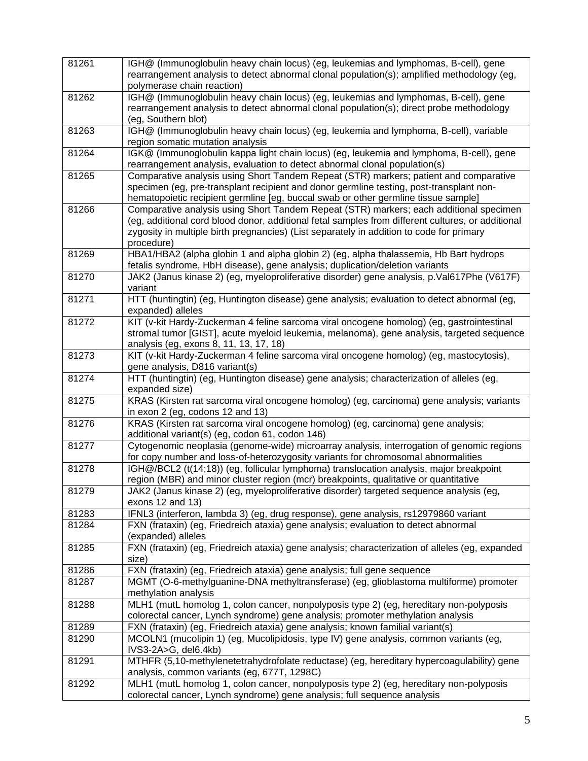| 81261 | IGH@ (Immunoglobulin heavy chain locus) (eg, leukemias and lymphomas, B-cell), gene<br>rearrangement analysis to detect abnormal clonal population(s); amplified methodology (eg,<br>polymerase chain reaction)                                                                                       |
|-------|-------------------------------------------------------------------------------------------------------------------------------------------------------------------------------------------------------------------------------------------------------------------------------------------------------|
| 81262 | IGH@ (Immunoglobulin heavy chain locus) (eg, leukemias and lymphomas, B-cell), gene<br>rearrangement analysis to detect abnormal clonal population(s); direct probe methodology<br>(eg, Southern blot)                                                                                                |
| 81263 | IGH@ (Immunoglobulin heavy chain locus) (eg, leukemia and lymphoma, B-cell), variable<br>region somatic mutation analysis                                                                                                                                                                             |
| 81264 | IGK@ (Immunoglobulin kappa light chain locus) (eg, leukemia and lymphoma, B-cell), gene<br>rearrangement analysis, evaluation to detect abnormal clonal population(s)                                                                                                                                 |
| 81265 | Comparative analysis using Short Tandem Repeat (STR) markers; patient and comparative<br>specimen (eg, pre-transplant recipient and donor germline testing, post-transplant non-<br>hematopoietic recipient germline [eg, buccal swab or other germline tissue sample]                                |
| 81266 | Comparative analysis using Short Tandem Repeat (STR) markers; each additional specimen<br>(eg, additional cord blood donor, additional fetal samples from different cultures, or additional<br>zygosity in multiple birth pregnancies) (List separately in addition to code for primary<br>procedure) |
| 81269 | HBA1/HBA2 (alpha globin 1 and alpha globin 2) (eg, alpha thalassemia, Hb Bart hydrops<br>fetalis syndrome, HbH disease), gene analysis; duplication/deletion variants                                                                                                                                 |
| 81270 | JAK2 (Janus kinase 2) (eg, myeloproliferative disorder) gene analysis, p.Val617Phe (V617F)<br>variant                                                                                                                                                                                                 |
| 81271 | HTT (huntingtin) (eg, Huntington disease) gene analysis; evaluation to detect abnormal (eg,<br>expanded) alleles                                                                                                                                                                                      |
| 81272 | KIT (v-kit Hardy-Zuckerman 4 feline sarcoma viral oncogene homolog) (eg, gastrointestinal<br>stromal tumor [GIST], acute myeloid leukemia, melanoma), gene analysis, targeted sequence<br>analysis (eg, exons 8, 11, 13, 17, 18)                                                                      |
| 81273 | KIT (v-kit Hardy-Zuckerman 4 feline sarcoma viral oncogene homolog) (eg, mastocytosis),<br>gene analysis, D816 variant(s)                                                                                                                                                                             |
| 81274 | HTT (huntingtin) (eg, Huntington disease) gene analysis; characterization of alleles (eg,<br>expanded size)                                                                                                                                                                                           |
| 81275 | KRAS (Kirsten rat sarcoma viral oncogene homolog) (eg, carcinoma) gene analysis; variants<br>in exon 2 (eg, codons 12 and 13)                                                                                                                                                                         |
| 81276 | KRAS (Kirsten rat sarcoma viral oncogene homolog) (eg, carcinoma) gene analysis;<br>additional variant(s) (eg, codon 61, codon 146)                                                                                                                                                                   |
| 81277 | Cytogenomic neoplasia (genome-wide) microarray analysis, interrogation of genomic regions<br>for copy number and loss-of-heterozygosity variants for chromosomal abnormalities                                                                                                                        |
| 81278 | IGH@/BCL2 (t(14;18)) (eg, follicular lymphoma) translocation analysis, major breakpoint<br>region (MBR) and minor cluster region (mcr) breakpoints, qualitative or quantitative                                                                                                                       |
| 81279 | JAK2 (Janus kinase 2) (eg, myeloproliferative disorder) targeted sequence analysis (eg,<br>exons 12 and 13)                                                                                                                                                                                           |
| 81283 | IFNL3 (interferon, lambda 3) (eg, drug response), gene analysis, rs12979860 variant                                                                                                                                                                                                                   |
| 81284 | FXN (frataxin) (eg, Friedreich ataxia) gene analysis; evaluation to detect abnormal<br>(expanded) alleles                                                                                                                                                                                             |
| 81285 | FXN (frataxin) (eg, Friedreich ataxia) gene analysis; characterization of alleles (eg, expanded<br>size)                                                                                                                                                                                              |
| 81286 | FXN (frataxin) (eg, Friedreich ataxia) gene analysis; full gene sequence                                                                                                                                                                                                                              |
| 81287 | MGMT (O-6-methylguanine-DNA methyltransferase) (eg, glioblastoma multiforme) promoter<br>methylation analysis                                                                                                                                                                                         |
| 81288 | MLH1 (mutL homolog 1, colon cancer, nonpolyposis type 2) (eg, hereditary non-polyposis<br>colorectal cancer, Lynch syndrome) gene analysis; promoter methylation analysis                                                                                                                             |
| 81289 | FXN (frataxin) (eg, Friedreich ataxia) gene analysis; known familial variant(s)                                                                                                                                                                                                                       |
| 81290 | MCOLN1 (mucolipin 1) (eg, Mucolipidosis, type IV) gene analysis, common variants (eg,<br>IVS3-2A>G, del6.4kb)                                                                                                                                                                                         |
| 81291 | MTHFR (5,10-methylenetetrahydrofolate reductase) (eg, hereditary hypercoagulability) gene<br>analysis, common variants (eg, 677T, 1298C)                                                                                                                                                              |
| 81292 | MLH1 (mutL homolog 1, colon cancer, nonpolyposis type 2) (eg, hereditary non-polyposis<br>colorectal cancer, Lynch syndrome) gene analysis; full sequence analysis                                                                                                                                    |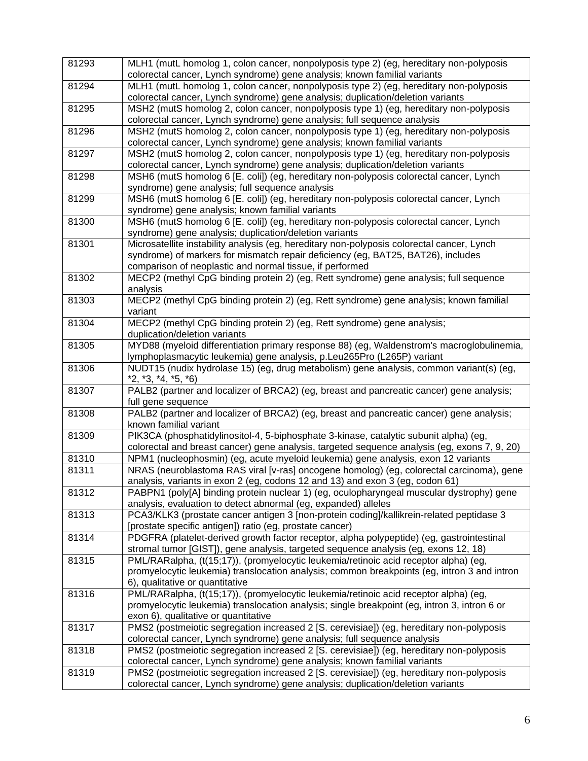| 81293 | MLH1 (mutL homolog 1, colon cancer, nonpolyposis type 2) (eg, hereditary non-polyposis                                                                                    |
|-------|---------------------------------------------------------------------------------------------------------------------------------------------------------------------------|
|       | colorectal cancer, Lynch syndrome) gene analysis; known familial variants                                                                                                 |
| 81294 | MLH1 (mutL homolog 1, colon cancer, nonpolyposis type 2) (eg, hereditary non-polyposis                                                                                    |
|       | colorectal cancer, Lynch syndrome) gene analysis; duplication/deletion variants                                                                                           |
| 81295 | MSH2 (mutS homolog 2, colon cancer, nonpolyposis type 1) (eg, hereditary non-polyposis                                                                                    |
|       | colorectal cancer, Lynch syndrome) gene analysis; full sequence analysis                                                                                                  |
| 81296 | MSH2 (mutS homolog 2, colon cancer, nonpolyposis type 1) (eg, hereditary non-polyposis                                                                                    |
|       | colorectal cancer, Lynch syndrome) gene analysis; known familial variants                                                                                                 |
| 81297 | MSH2 (mutS homolog 2, colon cancer, nonpolyposis type 1) (eg, hereditary non-polyposis<br>colorectal cancer, Lynch syndrome) gene analysis; duplication/deletion variants |
| 81298 | MSH6 (mutS homolog 6 [E. coli]) (eg, hereditary non-polyposis colorectal cancer, Lynch                                                                                    |
|       | syndrome) gene analysis; full sequence analysis                                                                                                                           |
| 81299 | MSH6 (mutS homolog 6 [E. coli]) (eg, hereditary non-polyposis colorectal cancer, Lynch                                                                                    |
|       | syndrome) gene analysis; known familial variants                                                                                                                          |
| 81300 | MSH6 (mutS homolog 6 [E. coli]) (eg, hereditary non-polyposis colorectal cancer, Lynch                                                                                    |
|       | syndrome) gene analysis; duplication/deletion variants                                                                                                                    |
| 81301 | Microsatellite instability analysis (eg, hereditary non-polyposis colorectal cancer, Lynch                                                                                |
|       | syndrome) of markers for mismatch repair deficiency (eg, BAT25, BAT26), includes                                                                                          |
|       | comparison of neoplastic and normal tissue, if performed                                                                                                                  |
| 81302 | MECP2 (methyl CpG binding protein 2) (eg, Rett syndrome) gene analysis; full sequence                                                                                     |
|       | analysis                                                                                                                                                                  |
| 81303 | MECP2 (methyl CpG binding protein 2) (eg, Rett syndrome) gene analysis; known familial                                                                                    |
|       | variant                                                                                                                                                                   |
| 81304 | MECP2 (methyl CpG binding protein 2) (eg, Rett syndrome) gene analysis;                                                                                                   |
|       | duplication/deletion variants                                                                                                                                             |
| 81305 | MYD88 (myeloid differentiation primary response 88) (eg, Waldenstrom's macroglobulinemia,                                                                                 |
|       | lymphoplasmacytic leukemia) gene analysis, p.Leu265Pro (L265P) variant                                                                                                    |
| 81306 | NUDT15 (nudix hydrolase 15) (eg, drug metabolism) gene analysis, common variant(s) (eg,                                                                                   |
|       | $*2, *3, *4, *5, *6)$                                                                                                                                                     |
| 81307 | PALB2 (partner and localizer of BRCA2) (eg, breast and pancreatic cancer) gene analysis;                                                                                  |
|       | full gene sequence                                                                                                                                                        |
| 81308 | PALB2 (partner and localizer of BRCA2) (eg, breast and pancreatic cancer) gene analysis;                                                                                  |
|       | known familial variant                                                                                                                                                    |
| 81309 | PIK3CA (phosphatidylinositol-4, 5-biphosphate 3-kinase, catalytic subunit alpha) (eg,                                                                                     |
|       | colorectal and breast cancer) gene analysis, targeted sequence analysis (eg, exons 7, 9, 20)                                                                              |
| 81310 | NPM1 (nucleophosmin) (eg, acute myeloid leukemia) gene analysis, exon 12 variants                                                                                         |
| 81311 | NRAS (neuroblastoma RAS viral [v-ras] oncogene homolog) (eg, colorectal carcinoma), gene                                                                                  |
|       | analysis, variants in exon 2 (eg, codons 12 and 13) and exon 3 (eg, codon 61)                                                                                             |
| 81312 | PABPN1 (poly[A] binding protein nuclear 1) (eg, oculopharyngeal muscular dystrophy) gene                                                                                  |
|       | analysis, evaluation to detect abnormal (eg, expanded) alleles                                                                                                            |
| 81313 | PCA3/KLK3 (prostate cancer antigen 3 [non-protein coding]/kallikrein-related peptidase 3                                                                                  |
|       | [prostate specific antigen]) ratio (eg, prostate cancer)                                                                                                                  |
| 81314 | PDGFRA (platelet-derived growth factor receptor, alpha polypeptide) (eg, gastrointestinal                                                                                 |
|       | stromal tumor [GIST]), gene analysis, targeted sequence analysis (eg, exons 12, 18)                                                                                       |
| 81315 | PML/RARalpha, (t(15;17)), (promyelocytic leukemia/retinoic acid receptor alpha) (eg,                                                                                      |
|       | promyelocytic leukemia) translocation analysis; common breakpoints (eg, intron 3 and intron                                                                               |
|       | 6), qualitative or quantitative                                                                                                                                           |
| 81316 | PML/RARalpha, (t(15;17)), (promyelocytic leukemia/retinoic acid receptor alpha) (eg,                                                                                      |
|       | promyelocytic leukemia) translocation analysis; single breakpoint (eg, intron 3, intron 6 or                                                                              |
|       | exon 6), qualitative or quantitative                                                                                                                                      |
| 81317 | PMS2 (postmeiotic segregation increased 2 [S. cerevisiae]) (eg, hereditary non-polyposis                                                                                  |
|       | colorectal cancer, Lynch syndrome) gene analysis; full sequence analysis                                                                                                  |
| 81318 | PMS2 (postmeiotic segregation increased 2 [S. cerevisiae]) (eg, hereditary non-polyposis                                                                                  |
|       | colorectal cancer, Lynch syndrome) gene analysis; known familial variants                                                                                                 |
| 81319 | PMS2 (postmeiotic segregation increased 2 [S. cerevisiae]) (eg, hereditary non-polyposis                                                                                  |
|       | colorectal cancer, Lynch syndrome) gene analysis; duplication/deletion variants                                                                                           |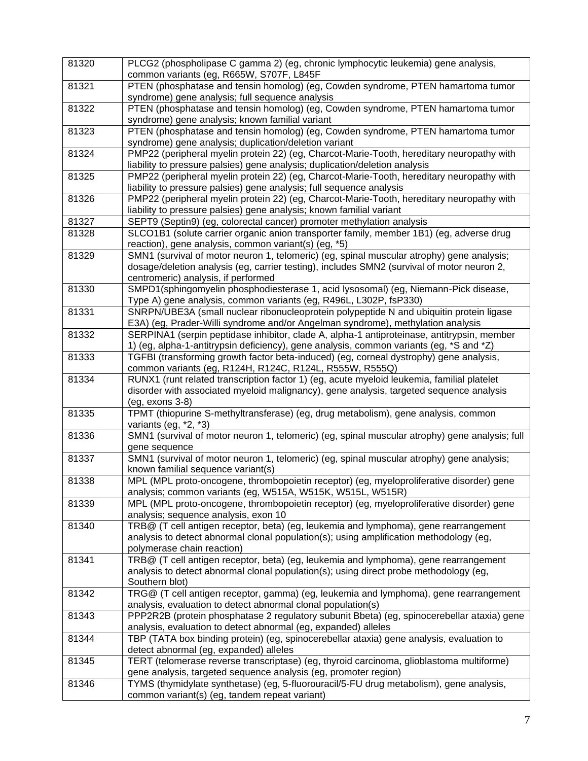| 81320 | PLCG2 (phospholipase C gamma 2) (eg, chronic lymphocytic leukemia) gene analysis,<br>common variants (eg, R665W, S707F, L845F                                            |
|-------|--------------------------------------------------------------------------------------------------------------------------------------------------------------------------|
| 81321 | PTEN (phosphatase and tensin homolog) (eg, Cowden syndrome, PTEN hamartoma tumor<br>syndrome) gene analysis; full sequence analysis                                      |
| 81322 | PTEN (phosphatase and tensin homolog) (eg, Cowden syndrome, PTEN hamartoma tumor<br>syndrome) gene analysis; known familial variant                                      |
| 81323 | PTEN (phosphatase and tensin homolog) (eg, Cowden syndrome, PTEN hamartoma tumor<br>syndrome) gene analysis; duplication/deletion variant                                |
| 81324 | PMP22 (peripheral myelin protein 22) (eg, Charcot-Marie-Tooth, hereditary neuropathy with<br>liability to pressure palsies) gene analysis; duplication/deletion analysis |
| 81325 | PMP22 (peripheral myelin protein 22) (eg, Charcot-Marie-Tooth, hereditary neuropathy with<br>liability to pressure palsies) gene analysis; full sequence analysis        |
| 81326 | PMP22 (peripheral myelin protein 22) (eg, Charcot-Marie-Tooth, hereditary neuropathy with<br>liability to pressure palsies) gene analysis; known familial variant        |
| 81327 | SEPT9 (Septin9) (eg, colorectal cancer) promoter methylation analysis                                                                                                    |
| 81328 | SLCO1B1 (solute carrier organic anion transporter family, member 1B1) (eg, adverse drug                                                                                  |
|       | reaction), gene analysis, common variant(s) (eg, *5)                                                                                                                     |
| 81329 | SMN1 (survival of motor neuron 1, telomeric) (eg, spinal muscular atrophy) gene analysis;                                                                                |
|       | dosage/deletion analysis (eg, carrier testing), includes SMN2 (survival of motor neuron 2,                                                                               |
|       | centromeric) analysis, if performed                                                                                                                                      |
| 81330 | SMPD1(sphingomyelin phosphodiesterase 1, acid lysosomal) (eg, Niemann-Pick disease,                                                                                      |
|       | Type A) gene analysis, common variants (eg, R496L, L302P, fsP330)                                                                                                        |
| 81331 | SNRPN/UBE3A (small nuclear ribonucleoprotein polypeptide N and ubiquitin protein ligase                                                                                  |
|       | E3A) (eg, Prader-Willi syndrome and/or Angelman syndrome), methylation analysis                                                                                          |
| 81332 | SERPINA1 (serpin peptidase inhibitor, clade A, alpha-1 antiproteinase, antitrypsin, member                                                                               |
|       | 1) (eg, alpha-1-antitrypsin deficiency), gene analysis, common variants (eg, *S and *Z)                                                                                  |
| 81333 | TGFBI (transforming growth factor beta-induced) (eg, corneal dystrophy) gene analysis,                                                                                   |
|       | common variants (eg, R124H, R124C, R124L, R555W, R555Q)                                                                                                                  |
| 81334 | RUNX1 (runt related transcription factor 1) (eg, acute myeloid leukemia, familial platelet                                                                               |
|       | disorder with associated myeloid malignancy), gene analysis, targeted sequence analysis<br>(eg, exons 3-8)                                                               |
| 81335 | TPMT (thiopurine S-methyltransferase) (eg, drug metabolism), gene analysis, common                                                                                       |
|       | variants (eg, *2, *3)                                                                                                                                                    |
| 81336 | SMN1 (survival of motor neuron 1, telomeric) (eg, spinal muscular atrophy) gene analysis; full<br>gene sequence                                                          |
| 81337 | SMN1 (survival of motor neuron 1, telomeric) (eg, spinal muscular atrophy) gene analysis;<br>known familial sequence variant(s)                                          |
| 81338 | MPL (MPL proto-oncogene, thrombopoietin receptor) (eg, myeloproliferative disorder) gene                                                                                 |
|       | analysis; common variants (eg, W515A, W515K, W515L, W515R)                                                                                                               |
| 81339 | MPL (MPL proto-oncogene, thrombopoietin receptor) (eq, myeloproliferative disorder) gene<br>analysis; sequence analysis, exon 10                                         |
| 81340 | TRB@ (T cell antigen receptor, beta) (eg, leukemia and lymphoma), gene rearrangement                                                                                     |
|       | analysis to detect abnormal clonal population(s); using amplification methodology (eg,                                                                                   |
|       | polymerase chain reaction)                                                                                                                                               |
| 81341 | TRB@ (T cell antigen receptor, beta) (eg, leukemia and lymphoma), gene rearrangement                                                                                     |
|       | analysis to detect abnormal clonal population(s); using direct probe methodology (eg,                                                                                    |
|       | Southern blot)                                                                                                                                                           |
| 81342 | TRG@ (T cell antigen receptor, gamma) (eg, leukemia and lymphoma), gene rearrangement                                                                                    |
|       | analysis, evaluation to detect abnormal clonal population(s)                                                                                                             |
| 81343 | PPP2R2B (protein phosphatase 2 regulatory subunit Bbeta) (eg, spinocerebellar ataxia) gene<br>analysis, evaluation to detect abnormal (eg, expanded) alleles             |
| 81344 | TBP (TATA box binding protein) (eg, spinocerebellar ataxia) gene analysis, evaluation to                                                                                 |
|       | detect abnormal (eg, expanded) alleles                                                                                                                                   |
| 81345 | TERT (telomerase reverse transcriptase) (eg, thyroid carcinoma, glioblastoma multiforme)                                                                                 |
|       | gene analysis, targeted sequence analysis (eg, promoter region)                                                                                                          |
| 81346 | TYMS (thymidylate synthetase) (eg, 5-fluorouracil/5-FU drug metabolism), gene analysis,                                                                                  |
|       | common variant(s) (eg, tandem repeat variant)                                                                                                                            |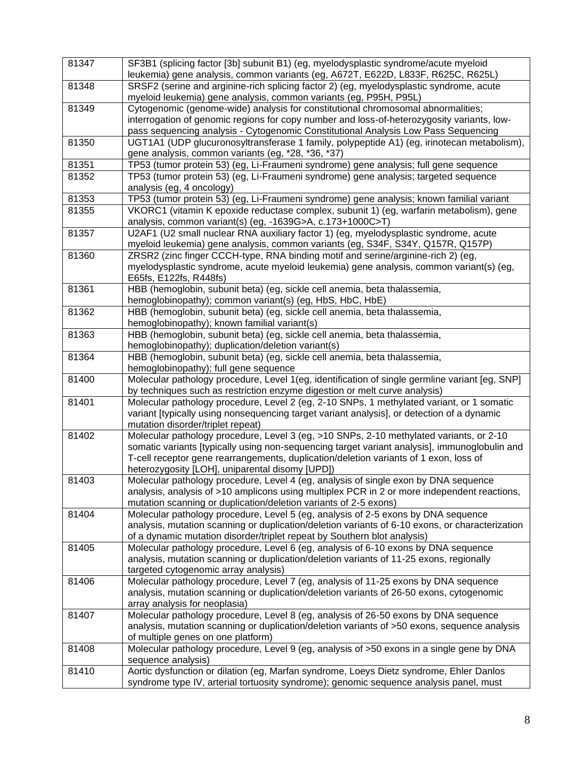| 81347 | SF3B1 (splicing factor [3b] subunit B1) (eg, myelodysplastic syndrome/acute myeloid                                                                                          |
|-------|------------------------------------------------------------------------------------------------------------------------------------------------------------------------------|
|       | leukemia) gene analysis, common variants (eg, A672T, E622D, L833F, R625C, R625L)                                                                                             |
| 81348 | SRSF2 (serine and arginine-rich splicing factor 2) (eg, myelodysplastic syndrome, acute                                                                                      |
|       | myeloid leukemia) gene analysis, common variants (eg, P95H, P95L)                                                                                                            |
| 81349 | Cytogenomic (genome-wide) analysis for constitutional chromosomal abnormalities;                                                                                             |
|       | interrogation of genomic regions for copy number and loss-of-heterozygosity variants, low-                                                                                   |
|       | pass sequencing analysis - Cytogenomic Constitutional Analysis Low Pass Sequencing                                                                                           |
| 81350 | UGT1A1 (UDP glucuronosyltransferase 1 family, polypeptide A1) (eg, irinotecan metabolism),                                                                                   |
|       | gene analysis, common variants (eg, *28, *36, *37)                                                                                                                           |
| 81351 | TP53 (tumor protein 53) (eg, Li-Fraumeni syndrome) gene analysis; full gene sequence                                                                                         |
| 81352 | TP53 (tumor protein 53) (eg, Li-Fraumeni syndrome) gene analysis; targeted sequence                                                                                          |
|       | analysis (eg, 4 oncology)                                                                                                                                                    |
| 81353 | TP53 (tumor protein 53) (eg, Li-Fraumeni syndrome) gene analysis; known familial variant                                                                                     |
| 81355 | VKORC1 (vitamin K epoxide reductase complex, subunit 1) (eg, warfarin metabolism), gene                                                                                      |
|       | analysis, common variant(s) (eg, -1639G>A, c.173+1000C>T)                                                                                                                    |
| 81357 | U2AF1 (U2 small nuclear RNA auxiliary factor 1) (eg, myelodysplastic syndrome, acute<br>myeloid leukemia) gene analysis, common variants (eg, S34F, S34Y, Q157R, Q157P)      |
| 81360 | ZRSR2 (zinc finger CCCH-type, RNA binding motif and serine/arginine-rich 2) (eg,                                                                                             |
|       | myelodysplastic syndrome, acute myeloid leukemia) gene analysis, common variant(s) (eg,                                                                                      |
|       | E65fs, E122fs, R448fs)                                                                                                                                                       |
| 81361 | HBB (hemoglobin, subunit beta) (eg, sickle cell anemia, beta thalassemia,                                                                                                    |
|       |                                                                                                                                                                              |
|       | hemoglobinopathy); common variant(s) (eg, HbS, HbC, HbE)                                                                                                                     |
| 81362 | HBB (hemoglobin, subunit beta) (eg, sickle cell anemia, beta thalassemia,                                                                                                    |
|       | hemoglobinopathy); known familial variant(s)                                                                                                                                 |
| 81363 | HBB (hemoglobin, subunit beta) (eg, sickle cell anemia, beta thalassemia,                                                                                                    |
|       | hemoglobinopathy); duplication/deletion variant(s)                                                                                                                           |
| 81364 | HBB (hemoglobin, subunit beta) (eg, sickle cell anemia, beta thalassemia,<br>hemoglobinopathy); full gene sequence                                                           |
|       |                                                                                                                                                                              |
| 81400 | Molecular pathology procedure, Level 1(eg, identification of single germline variant [eg, SNP]<br>by techniques such as restriction enzyme digestion or melt curve analysis) |
| 81401 | Molecular pathology procedure, Level 2 (eg, 2-10 SNPs, 1 methylated variant, or 1 somatic                                                                                    |
|       | variant [typically using nonsequencing target variant analysis], or detection of a dynamic                                                                                   |
|       | mutation disorder/triplet repeat)                                                                                                                                            |
| 81402 | Molecular pathology procedure, Level 3 (eg, >10 SNPs, 2-10 methylated variants, or 2-10                                                                                      |
|       | somatic variants [typically using non-sequencing target variant analysis], immunoglobulin and                                                                                |
|       | T-cell receptor gene rearrangements, duplication/deletion variants of 1 exon, loss of                                                                                        |
|       | heterozygosity [LOH], uniparental disomy [UPD])                                                                                                                              |
| 81403 | Molecular pathology procedure, Level 4 (eg, analysis of single exon by DNA sequence                                                                                          |
|       | analysis, analysis of >10 amplicons using multiplex PCR in 2 or more independent reactions,                                                                                  |
|       |                                                                                                                                                                              |
| 81404 | mutation scanning or duplication/deletion variants of 2-5 exons)<br>Molecular pathology procedure, Level 5 (eg, analysis of 2-5 exons by DNA sequence                        |
|       |                                                                                                                                                                              |
|       | analysis, mutation scanning or duplication/deletion variants of 6-10 exons, or characterization                                                                              |
|       | of a dynamic mutation disorder/triplet repeat by Southern blot analysis)                                                                                                     |
| 81405 | Molecular pathology procedure, Level 6 (eg, analysis of 6-10 exons by DNA sequence                                                                                           |
|       | analysis, mutation scanning or duplication/deletion variants of 11-25 exons, regionally                                                                                      |
|       | targeted cytogenomic array analysis)                                                                                                                                         |
| 81406 | Molecular pathology procedure, Level 7 (eg, analysis of 11-25 exons by DNA sequence                                                                                          |
|       | analysis, mutation scanning or duplication/deletion variants of 26-50 exons, cytogenomic                                                                                     |
|       | array analysis for neoplasia)                                                                                                                                                |
| 81407 | Molecular pathology procedure, Level 8 (eg, analysis of 26-50 exons by DNA sequence                                                                                          |
|       | analysis, mutation scanning or duplication/deletion variants of >50 exons, sequence analysis                                                                                 |
|       | of multiple genes on one platform)                                                                                                                                           |
| 81408 | Molecular pathology procedure, Level 9 (eg, analysis of >50 exons in a single gene by DNA                                                                                    |
|       | sequence analysis)                                                                                                                                                           |
| 81410 | Aortic dysfunction or dilation (eg, Marfan syndrome, Loeys Dietz syndrome, Ehler Danlos                                                                                      |
|       | syndrome type IV, arterial tortuosity syndrome); genomic sequence analysis panel, must                                                                                       |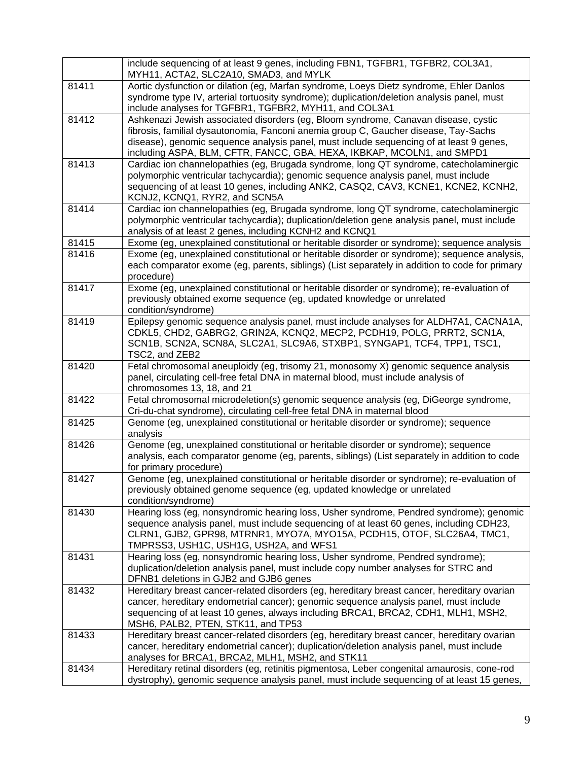|       | include sequencing of at least 9 genes, including FBN1, TGFBR1, TGFBR2, COL3A1,<br>MYH11, ACTA2, SLC2A10, SMAD3, and MYLK                                                                                                                                                                                                                      |
|-------|------------------------------------------------------------------------------------------------------------------------------------------------------------------------------------------------------------------------------------------------------------------------------------------------------------------------------------------------|
| 81411 | Aortic dysfunction or dilation (eg, Marfan syndrome, Loeys Dietz syndrome, Ehler Danlos<br>syndrome type IV, arterial tortuosity syndrome); duplication/deletion analysis panel, must<br>include analyses for TGFBR1, TGFBR2, MYH11, and COL3A1                                                                                                |
| 81412 | Ashkenazi Jewish associated disorders (eg, Bloom syndrome, Canavan disease, cystic<br>fibrosis, familial dysautonomia, Fanconi anemia group C, Gaucher disease, Tay-Sachs<br>disease), genomic sequence analysis panel, must include sequencing of at least 9 genes,<br>including ASPA, BLM, CFTR, FANCC, GBA, HEXA, IKBKAP, MCOLN1, and SMPD1 |
| 81413 | Cardiac ion channelopathies (eg, Brugada syndrome, long QT syndrome, catecholaminergic<br>polymorphic ventricular tachycardia); genomic sequence analysis panel, must include<br>sequencing of at least 10 genes, including ANK2, CASQ2, CAV3, KCNE1, KCNE2, KCNH2,<br>KCNJ2, KCNQ1, RYR2, and SCN5A                                           |
| 81414 | Cardiac ion channelopathies (eg, Brugada syndrome, long QT syndrome, catecholaminergic<br>polymorphic ventricular tachycardia); duplication/deletion gene analysis panel, must include<br>analysis of at least 2 genes, including KCNH2 and KCNQ1                                                                                              |
| 81415 | Exome (eg, unexplained constitutional or heritable disorder or syndrome); sequence analysis                                                                                                                                                                                                                                                    |
| 81416 | Exome (eg, unexplained constitutional or heritable disorder or syndrome); sequence analysis,<br>each comparator exome (eg, parents, siblings) (List separately in addition to code for primary<br>procedure)                                                                                                                                   |
| 81417 | Exome (eg, unexplained constitutional or heritable disorder or syndrome); re-evaluation of<br>previously obtained exome sequence (eg, updated knowledge or unrelated<br>condition/syndrome)                                                                                                                                                    |
| 81419 | Epilepsy genomic sequence analysis panel, must include analyses for ALDH7A1, CACNA1A,<br>CDKL5, CHD2, GABRG2, GRIN2A, KCNQ2, MECP2, PCDH19, POLG, PRRT2, SCN1A,<br>SCN1B, SCN2A, SCN8A, SLC2A1, SLC9A6, STXBP1, SYNGAP1, TCF4, TPP1, TSC1,<br>TSC2, and ZEB2                                                                                   |
| 81420 | Fetal chromosomal aneuploidy (eg, trisomy 21, monosomy X) genomic sequence analysis<br>panel, circulating cell-free fetal DNA in maternal blood, must include analysis of<br>chromosomes 13, 18, and 21                                                                                                                                        |
| 81422 | Fetal chromosomal microdeletion(s) genomic sequence analysis (eg, DiGeorge syndrome,<br>Cri-du-chat syndrome), circulating cell-free fetal DNA in maternal blood                                                                                                                                                                               |
| 81425 | Genome (eg, unexplained constitutional or heritable disorder or syndrome); sequence<br>analysis                                                                                                                                                                                                                                                |
| 81426 | Genome (eg, unexplained constitutional or heritable disorder or syndrome); sequence<br>analysis, each comparator genome (eg, parents, siblings) (List separately in addition to code<br>for primary procedure)                                                                                                                                 |
| 81427 | Genome (eg, unexplained constitutional or heritable disorder or syndrome); re-evaluation of<br>previously obtained genome sequence (eg, updated knowledge or unrelated<br>condition/syndrome)                                                                                                                                                  |
| 81430 | Hearing loss (eg, nonsyndromic hearing loss, Usher syndrome, Pendred syndrome); genomic<br>sequence analysis panel, must include sequencing of at least 60 genes, including CDH23,<br>CLRN1, GJB2, GPR98, MTRNR1, MYO7A, MYO15A, PCDH15, OTOF, SLC26A4, TMC1,<br>TMPRSS3, USH1C, USH1G, USH2A, and WFS1                                        |
| 81431 | Hearing loss (eg, nonsyndromic hearing loss, Usher syndrome, Pendred syndrome);<br>duplication/deletion analysis panel, must include copy number analyses for STRC and<br>DFNB1 deletions in GJB2 and GJB6 genes                                                                                                                               |
| 81432 | Hereditary breast cancer-related disorders (eg, hereditary breast cancer, hereditary ovarian<br>cancer, hereditary endometrial cancer); genomic sequence analysis panel, must include<br>sequencing of at least 10 genes, always including BRCA1, BRCA2, CDH1, MLH1, MSH2,<br>MSH6, PALB2, PTEN, STK11, and TP53                               |
| 81433 | Hereditary breast cancer-related disorders (eg, hereditary breast cancer, hereditary ovarian<br>cancer, hereditary endometrial cancer); duplication/deletion analysis panel, must include<br>analyses for BRCA1, BRCA2, MLH1, MSH2, and STK11                                                                                                  |
| 81434 | Hereditary retinal disorders (eg, retinitis pigmentosa, Leber congenital amaurosis, cone-rod<br>dystrophy), genomic sequence analysis panel, must include sequencing of at least 15 genes,                                                                                                                                                     |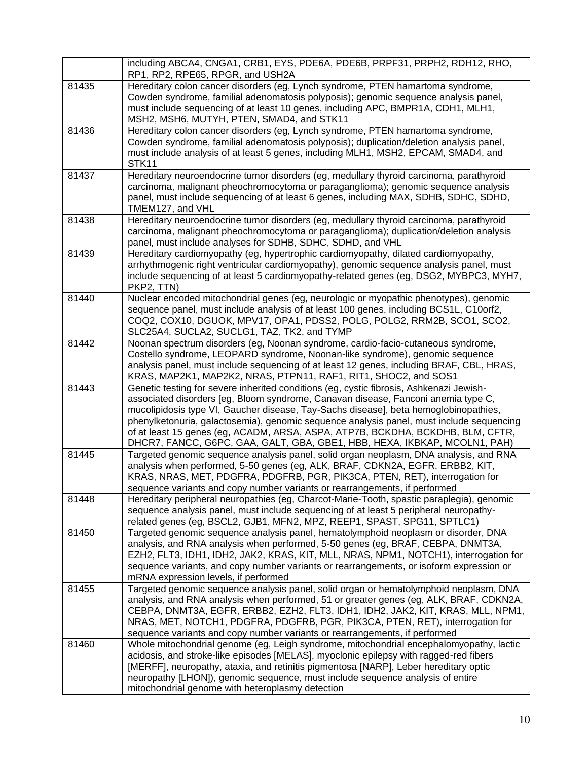|       | including ABCA4, CNGA1, CRB1, EYS, PDE6A, PDE6B, PRPF31, PRPH2, RDH12, RHO,<br>RP1, RP2, RPE65, RPGR, and USH2A                                                                                                                                                                                                                                                                                                                                                                                                                 |
|-------|---------------------------------------------------------------------------------------------------------------------------------------------------------------------------------------------------------------------------------------------------------------------------------------------------------------------------------------------------------------------------------------------------------------------------------------------------------------------------------------------------------------------------------|
| 81435 | Hereditary colon cancer disorders (eg, Lynch syndrome, PTEN hamartoma syndrome,<br>Cowden syndrome, familial adenomatosis polyposis); genomic sequence analysis panel,<br>must include sequencing of at least 10 genes, including APC, BMPR1A, CDH1, MLH1,<br>MSH2, MSH6, MUTYH, PTEN, SMAD4, and STK11                                                                                                                                                                                                                         |
| 81436 | Hereditary colon cancer disorders (eg, Lynch syndrome, PTEN hamartoma syndrome,<br>Cowden syndrome, familial adenomatosis polyposis); duplication/deletion analysis panel,<br>must include analysis of at least 5 genes, including MLH1, MSH2, EPCAM, SMAD4, and<br>STK11                                                                                                                                                                                                                                                       |
| 81437 | Hereditary neuroendocrine tumor disorders (eg, medullary thyroid carcinoma, parathyroid<br>carcinoma, malignant pheochromocytoma or paraganglioma); genomic sequence analysis<br>panel, must include sequencing of at least 6 genes, including MAX, SDHB, SDHC, SDHD,<br>TMEM127, and VHL                                                                                                                                                                                                                                       |
| 81438 | Hereditary neuroendocrine tumor disorders (eg, medullary thyroid carcinoma, parathyroid<br>carcinoma, malignant pheochromocytoma or paraganglioma); duplication/deletion analysis<br>panel, must include analyses for SDHB, SDHC, SDHD, and VHL                                                                                                                                                                                                                                                                                 |
| 81439 | Hereditary cardiomyopathy (eg, hypertrophic cardiomyopathy, dilated cardiomyopathy,<br>arrhythmogenic right ventricular cardiomyopathy), genomic sequence analysis panel, must<br>include sequencing of at least 5 cardiomyopathy-related genes (eg, DSG2, MYBPC3, MYH7,<br>PKP2, TTN)                                                                                                                                                                                                                                          |
| 81440 | Nuclear encoded mitochondrial genes (eg, neurologic or myopathic phenotypes), genomic<br>sequence panel, must include analysis of at least 100 genes, including BCS1L, C10orf2,<br>COQ2, COX10, DGUOK, MPV17, OPA1, PDSS2, POLG, POLG2, RRM2B, SCO1, SCO2,<br>SLC25A4, SUCLA2, SUCLG1, TAZ, TK2, and TYMP                                                                                                                                                                                                                       |
| 81442 | Noonan spectrum disorders (eg, Noonan syndrome, cardio-facio-cutaneous syndrome,<br>Costello syndrome, LEOPARD syndrome, Noonan-like syndrome), genomic sequence<br>analysis panel, must include sequencing of at least 12 genes, including BRAF, CBL, HRAS,<br>KRAS, MAP2K1, MAP2K2, NRAS, PTPN11, RAF1, RIT1, SHOC2, and SOS1                                                                                                                                                                                                 |
| 81443 | Genetic testing for severe inherited conditions (eg, cystic fibrosis, Ashkenazi Jewish-<br>associated disorders [eg, Bloom syndrome, Canavan disease, Fanconi anemia type C,<br>mucolipidosis type VI, Gaucher disease, Tay-Sachs disease], beta hemoglobinopathies,<br>phenylketonuria, galactosemia), genomic sequence analysis panel, must include sequencing<br>of at least 15 genes (eg, ACADM, ARSA, ASPA, ATP7B, BCKDHA, BCKDHB, BLM, CFTR,<br>DHCR7, FANCC, G6PC, GAA, GALT, GBA, GBE1, HBB, HEXA, IKBKAP, MCOLN1, PAH) |
| 81445 | Targeted genomic sequence analysis panel, solid organ neoplasm, DNA analysis, and RNA<br>analysis when performed, 5-50 genes (eg, ALK, BRAF, CDKN2A, EGFR, ERBB2, KIT,<br>KRAS, NRAS, MET, PDGFRA, PDGFRB, PGR, PIK3CA, PTEN, RET), interrogation for<br>sequence variants and copy number variants or rearrangements, if performed                                                                                                                                                                                             |
| 81448 | Hereditary peripheral neuropathies (eg, Charcot-Marie-Tooth, spastic paraplegia), genomic<br>sequence analysis panel, must include sequencing of at least 5 peripheral neuropathy-<br>related genes (eg, BSCL2, GJB1, MFN2, MPZ, REEP1, SPAST, SPG11, SPTLC1)                                                                                                                                                                                                                                                                   |
| 81450 | Targeted genomic sequence analysis panel, hematolymphoid neoplasm or disorder, DNA<br>analysis, and RNA analysis when performed, 5-50 genes (eg, BRAF, CEBPA, DNMT3A,<br>EZH2, FLT3, IDH1, IDH2, JAK2, KRAS, KIT, MLL, NRAS, NPM1, NOTCH1), interrogation for<br>sequence variants, and copy number variants or rearrangements, or isoform expression or<br>mRNA expression levels, if performed                                                                                                                                |
| 81455 | Targeted genomic sequence analysis panel, solid organ or hematolymphoid neoplasm, DNA<br>analysis, and RNA analysis when performed, 51 or greater genes (eg, ALK, BRAF, CDKN2A,<br>CEBPA, DNMT3A, EGFR, ERBB2, EZH2, FLT3, IDH1, IDH2, JAK2, KIT, KRAS, MLL, NPM1,<br>NRAS, MET, NOTCH1, PDGFRA, PDGFRB, PGR, PIK3CA, PTEN, RET), interrogation for<br>sequence variants and copy number variants or rearrangements, if performed                                                                                               |
| 81460 | Whole mitochondrial genome (eg, Leigh syndrome, mitochondrial encephalomyopathy, lactic<br>acidosis, and stroke-like episodes [MELAS], myoclonic epilepsy with ragged-red fibers<br>[MERFF], neuropathy, ataxia, and retinitis pigmentosa [NARP], Leber hereditary optic<br>neuropathy [LHON]), genomic sequence, must include sequence analysis of entire<br>mitochondrial genome with heteroplasmy detection                                                                                                                  |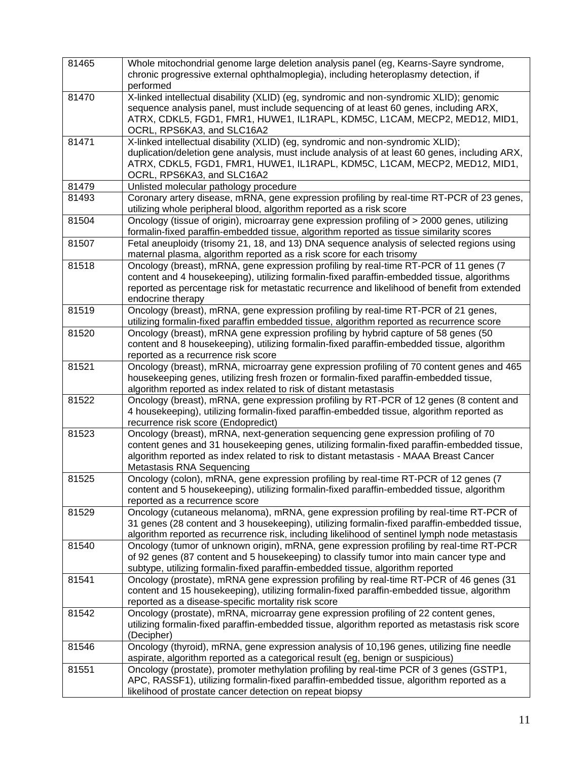| 81465 | Whole mitochondrial genome large deletion analysis panel (eg, Kearns-Sayre syndrome,<br>chronic progressive external ophthalmoplegia), including heteroplasmy detection, if<br>performed                                                                                                                  |
|-------|-----------------------------------------------------------------------------------------------------------------------------------------------------------------------------------------------------------------------------------------------------------------------------------------------------------|
| 81470 | X-linked intellectual disability (XLID) (eg, syndromic and non-syndromic XLID); genomic<br>sequence analysis panel, must include sequencing of at least 60 genes, including ARX,<br>ATRX, CDKL5, FGD1, FMR1, HUWE1, IL1RAPL, KDM5C, L1CAM, MECP2, MED12, MID1,<br>OCRL, RPS6KA3, and SLC16A2              |
| 81471 | X-linked intellectual disability (XLID) (eg, syndromic and non-syndromic XLID);<br>duplication/deletion gene analysis, must include analysis of at least 60 genes, including ARX,<br>ATRX, CDKL5, FGD1, FMR1, HUWE1, IL1RAPL, KDM5C, L1CAM, MECP2, MED12, MID1,<br>OCRL, RPS6KA3, and SLC16A2             |
| 81479 | Unlisted molecular pathology procedure                                                                                                                                                                                                                                                                    |
| 81493 | Coronary artery disease, mRNA, gene expression profiling by real-time RT-PCR of 23 genes,<br>utilizing whole peripheral blood, algorithm reported as a risk score                                                                                                                                         |
| 81504 | Oncology (tissue of origin), microarray gene expression profiling of > 2000 genes, utilizing<br>formalin-fixed paraffin-embedded tissue, algorithm reported as tissue similarity scores                                                                                                                   |
| 81507 | Fetal aneuploidy (trisomy 21, 18, and 13) DNA sequence analysis of selected regions using<br>maternal plasma, algorithm reported as a risk score for each trisomy                                                                                                                                         |
| 81518 | Oncology (breast), mRNA, gene expression profiling by real-time RT-PCR of 11 genes (7<br>content and 4 housekeeping), utilizing formalin-fixed paraffin-embedded tissue, algorithms<br>reported as percentage risk for metastatic recurrence and likelihood of benefit from extended<br>endocrine therapy |
| 81519 | Oncology (breast), mRNA, gene expression profiling by real-time RT-PCR of 21 genes,<br>utilizing formalin-fixed paraffin embedded tissue, algorithm reported as recurrence score                                                                                                                          |
| 81520 | Oncology (breast), mRNA gene expression profiling by hybrid capture of 58 genes (50<br>content and 8 housekeeping), utilizing formalin-fixed paraffin-embedded tissue, algorithm<br>reported as a recurrence risk score                                                                                   |
| 81521 | Oncology (breast), mRNA, microarray gene expression profiling of 70 content genes and 465<br>housekeeping genes, utilizing fresh frozen or formalin-fixed paraffin-embedded tissue,<br>algorithm reported as index related to risk of distant metastasis                                                  |
| 81522 | Oncology (breast), mRNA, gene expression profiling by RT-PCR of 12 genes (8 content and<br>4 housekeeping), utilizing formalin-fixed paraffin-embedded tissue, algorithm reported as<br>recurrence risk score (Endopredict)                                                                               |
| 81523 | Oncology (breast), mRNA, next-generation sequencing gene expression profiling of 70<br>content genes and 31 housekeeping genes, utilizing formalin-fixed paraffin-embedded tissue,<br>algorithm reported as index related to risk to distant metastasis - MAAA Breast Cancer<br>Metastasis RNA Sequencing |
| 81525 | Oncology (colon), mRNA, gene expression profiling by real-time RT-PCR of 12 genes (7<br>content and 5 housekeeping), utilizing formalin-fixed paraffin-embedded tissue, algorithm<br>reported as a recurrence score                                                                                       |
| 81529 | Oncology (cutaneous melanoma), mRNA, gene expression profiling by real-time RT-PCR of<br>31 genes (28 content and 3 housekeeping), utilizing formalin-fixed paraffin-embedded tissue,<br>algorithm reported as recurrence risk, including likelihood of sentinel lymph node metastasis                    |
| 81540 | Oncology (tumor of unknown origin), mRNA, gene expression profiling by real-time RT-PCR<br>of 92 genes (87 content and 5 housekeeping) to classify tumor into main cancer type and<br>subtype, utilizing formalin-fixed paraffin-embedded tissue, algorithm reported                                      |
| 81541 | Oncology (prostate), mRNA gene expression profiling by real-time RT-PCR of 46 genes (31<br>content and 15 housekeeping), utilizing formalin-fixed paraffin-embedded tissue, algorithm<br>reported as a disease-specific mortality risk score                                                              |
| 81542 | Oncology (prostate), mRNA, microarray gene expression profiling of 22 content genes,<br>utilizing formalin-fixed paraffin-embedded tissue, algorithm reported as metastasis risk score<br>(Decipher)                                                                                                      |
| 81546 | Oncology (thyroid), mRNA, gene expression analysis of 10,196 genes, utilizing fine needle<br>aspirate, algorithm reported as a categorical result (eg, benign or suspicious)                                                                                                                              |
| 81551 | Oncology (prostate), promoter methylation profiling by real-time PCR of 3 genes (GSTP1,<br>APC, RASSF1), utilizing formalin-fixed paraffin-embedded tissue, algorithm reported as a<br>likelihood of prostate cancer detection on repeat biopsy                                                           |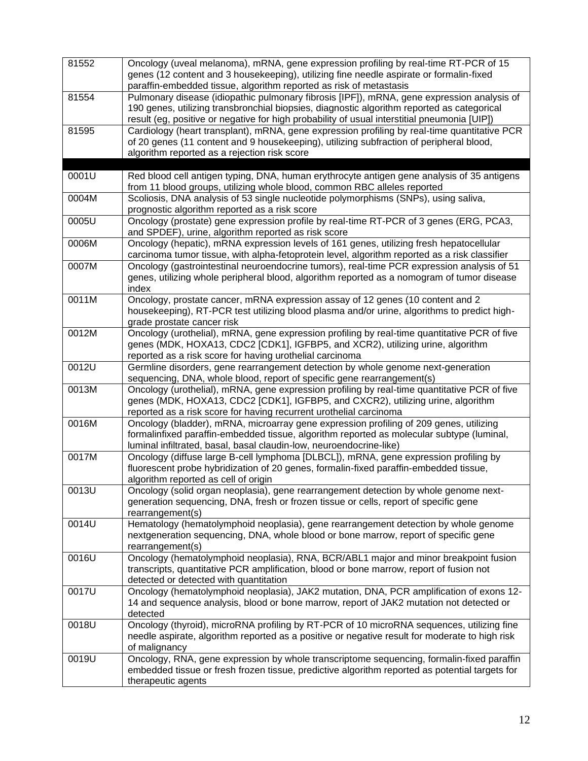| 81552 | Oncology (uveal melanoma), mRNA, gene expression profiling by real-time RT-PCR of 15<br>genes (12 content and 3 housekeeping), utilizing fine needle aspirate or formalin-fixed<br>paraffin-embedded tissue, algorithm reported as risk of metastasis                                    |
|-------|------------------------------------------------------------------------------------------------------------------------------------------------------------------------------------------------------------------------------------------------------------------------------------------|
| 81554 | Pulmonary disease (idiopathic pulmonary fibrosis [IPF]), mRNA, gene expression analysis of<br>190 genes, utilizing transbronchial biopsies, diagnostic algorithm reported as categorical<br>result (eg, positive or negative for high probability of usual interstitial pneumonia [UIP]) |
| 81595 | Cardiology (heart transplant), mRNA, gene expression profiling by real-time quantitative PCR<br>of 20 genes (11 content and 9 housekeeping), utilizing subfraction of peripheral blood,<br>algorithm reported as a rejection risk score                                                  |
| 0001U | Red blood cell antigen typing, DNA, human erythrocyte antigen gene analysis of 35 antigens<br>from 11 blood groups, utilizing whole blood, common RBC alleles reported                                                                                                                   |
| 0004M | Scoliosis, DNA analysis of 53 single nucleotide polymorphisms (SNPs), using saliva,<br>prognostic algorithm reported as a risk score                                                                                                                                                     |
| 0005U | Oncology (prostate) gene expression profile by real-time RT-PCR of 3 genes (ERG, PCA3,<br>and SPDEF), urine, algorithm reported as risk score                                                                                                                                            |
| 0006M | Oncology (hepatic), mRNA expression levels of 161 genes, utilizing fresh hepatocellular<br>carcinoma tumor tissue, with alpha-fetoprotein level, algorithm reported as a risk classifier                                                                                                 |
| 0007M | Oncology (gastrointestinal neuroendocrine tumors), real-time PCR expression analysis of 51<br>genes, utilizing whole peripheral blood, algorithm reported as a nomogram of tumor disease<br>index                                                                                        |
| 0011M | Oncology, prostate cancer, mRNA expression assay of 12 genes (10 content and 2<br>housekeeping), RT-PCR test utilizing blood plasma and/or urine, algorithms to predict high-<br>grade prostate cancer risk                                                                              |
| 0012M | Oncology (urothelial), mRNA, gene expression profiling by real-time quantitative PCR of five<br>genes (MDK, HOXA13, CDC2 [CDK1], IGFBP5, and XCR2), utilizing urine, algorithm<br>reported as a risk score for having urothelial carcinoma                                               |
| 0012U | Germline disorders, gene rearrangement detection by whole genome next-generation<br>sequencing, DNA, whole blood, report of specific gene rearrangement(s)                                                                                                                               |
| 0013M | Oncology (urothelial), mRNA, gene expression profiling by real-time quantitative PCR of five<br>genes (MDK, HOXA13, CDC2 [CDK1], IGFBP5, and CXCR2), utilizing urine, algorithm<br>reported as a risk score for having recurrent urothelial carcinoma                                    |
| 0016M | Oncology (bladder), mRNA, microarray gene expression profiling of 209 genes, utilizing<br>formalinfixed paraffin-embedded tissue, algorithm reported as molecular subtype (luminal,<br>luminal infiltrated, basal, basal claudin-low, neuroendocrine-like)                               |
| 0017M | Oncology (diffuse large B-cell lymphoma [DLBCL]), mRNA, gene expression profiling by<br>fluorescent probe hybridization of 20 genes, formalin-fixed paraffin-embedded tissue,<br>algorithm reported as cell of origin                                                                    |
| 0013U | Oncology (solid organ neoplasia), gene rearrangement detection by whole genome next-<br>generation sequencing, DNA, fresh or frozen tissue or cells, report of specific gene<br>rearrangement(s)                                                                                         |
| 0014U | Hematology (hematolymphoid neoplasia), gene rearrangement detection by whole genome<br>nextgeneration sequencing, DNA, whole blood or bone marrow, report of specific gene<br>rearrangement(s)                                                                                           |
| 0016U | Oncology (hematolymphoid neoplasia), RNA, BCR/ABL1 major and minor breakpoint fusion<br>transcripts, quantitative PCR amplification, blood or bone marrow, report of fusion not<br>detected or detected with quantitation                                                                |
| 0017U | Oncology (hematolymphoid neoplasia), JAK2 mutation, DNA, PCR amplification of exons 12-<br>14 and sequence analysis, blood or bone marrow, report of JAK2 mutation not detected or<br>detected                                                                                           |
| 0018U | Oncology (thyroid), microRNA profiling by RT-PCR of 10 microRNA sequences, utilizing fine<br>needle aspirate, algorithm reported as a positive or negative result for moderate to high risk<br>of malignancy                                                                             |
| 0019U | Oncology, RNA, gene expression by whole transcriptome sequencing, formalin-fixed paraffin<br>embedded tissue or fresh frozen tissue, predictive algorithm reported as potential targets for<br>therapeutic agents                                                                        |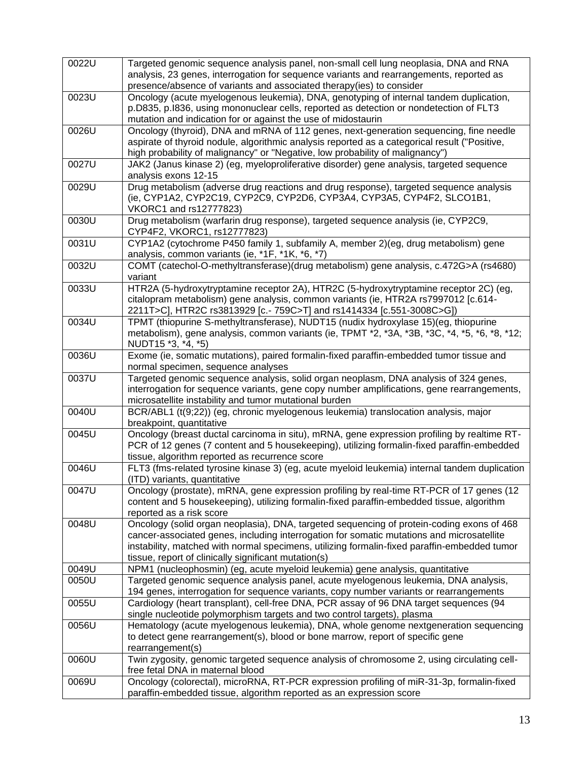| 0022U | Targeted genomic sequence analysis panel, non-small cell lung neoplasia, DNA and RNA<br>analysis, 23 genes, interrogation for sequence variants and rearrangements, reported as<br>presence/absence of variants and associated therapy(ies) to consider |
|-------|---------------------------------------------------------------------------------------------------------------------------------------------------------------------------------------------------------------------------------------------------------|
| 0023U | Oncology (acute myelogenous leukemia), DNA, genotyping of internal tandem duplication,                                                                                                                                                                  |
|       | p.D835, p.1836, using mononuclear cells, reported as detection or nondetection of FLT3                                                                                                                                                                  |
|       |                                                                                                                                                                                                                                                         |
|       | mutation and indication for or against the use of midostaurin                                                                                                                                                                                           |
| 0026U | Oncology (thyroid), DNA and mRNA of 112 genes, next-generation sequencing, fine needle                                                                                                                                                                  |
|       | aspirate of thyroid nodule, algorithmic analysis reported as a categorical result ("Positive,                                                                                                                                                           |
|       | high probability of malignancy" or "Negative, low probability of malignancy")                                                                                                                                                                           |
| 0027U | JAK2 (Janus kinase 2) (eg, myeloproliferative disorder) gene analysis, targeted sequence                                                                                                                                                                |
|       | analysis exons 12-15                                                                                                                                                                                                                                    |
| 0029U | Drug metabolism (adverse drug reactions and drug response), targeted sequence analysis                                                                                                                                                                  |
|       | (ie, CYP1A2, CYP2C19, CYP2C9, CYP2D6, CYP3A4, CYP3A5, CYP4F2, SLCO1B1,                                                                                                                                                                                  |
|       | VKORC1 and rs12777823)                                                                                                                                                                                                                                  |
| 0030U | Drug metabolism (warfarin drug response), targeted sequence analysis (ie, CYP2C9,                                                                                                                                                                       |
|       |                                                                                                                                                                                                                                                         |
|       | CYP4F2, VKORC1, rs12777823)                                                                                                                                                                                                                             |
| 0031U | CYP1A2 (cytochrome P450 family 1, subfamily A, member 2)(eg, drug metabolism) gene                                                                                                                                                                      |
|       | analysis, common variants (ie, *1F, *1K, *6, *7)                                                                                                                                                                                                        |
| 0032U | COMT (catechol-O-methyltransferase)(drug metabolism) gene analysis, c.472G>A (rs4680)                                                                                                                                                                   |
|       | variant                                                                                                                                                                                                                                                 |
| 0033U | HTR2A (5-hydroxytryptamine receptor 2A), HTR2C (5-hydroxytryptamine receptor 2C) (eg,                                                                                                                                                                   |
|       | citalopram metabolism) gene analysis, common variants (ie, HTR2A rs7997012 [c.614-                                                                                                                                                                      |
|       | 2211T>C], HTR2C rs3813929 [c.- 759C>T] and rs1414334 [c.551-3008C>G])                                                                                                                                                                                   |
| 0034U | TPMT (thiopurine S-methyltransferase), NUDT15 (nudix hydroxylase 15)(eg, thiopurine                                                                                                                                                                     |
|       |                                                                                                                                                                                                                                                         |
|       | metabolism), gene analysis, common variants (ie, TPMT *2, *3A, *3B, *3C, *4, *5, *6, *8, *12;                                                                                                                                                           |
|       | NUDT15 *3, *4, *5)                                                                                                                                                                                                                                      |
| 0036U | Exome (ie, somatic mutations), paired formalin-fixed paraffin-embedded tumor tissue and                                                                                                                                                                 |
|       | normal specimen, sequence analyses                                                                                                                                                                                                                      |
| 0037U | Targeted genomic sequence analysis, solid organ neoplasm, DNA analysis of 324 genes,                                                                                                                                                                    |
|       | interrogation for sequence variants, gene copy number amplifications, gene rearrangements,                                                                                                                                                              |
|       | microsatellite instability and tumor mutational burden                                                                                                                                                                                                  |
| 0040U | BCR/ABL1 (t(9;22)) (eg, chronic myelogenous leukemia) translocation analysis, major                                                                                                                                                                     |
|       | breakpoint, quantitative                                                                                                                                                                                                                                |
| 0045U | Oncology (breast ductal carcinoma in situ), mRNA, gene expression profiling by realtime RT-                                                                                                                                                             |
|       | PCR of 12 genes (7 content and 5 housekeeping), utilizing formalin-fixed paraffin-embedded                                                                                                                                                              |
|       | tissue, algorithm reported as recurrence score                                                                                                                                                                                                          |
| 0046U | FLT3 (fms-related tyrosine kinase 3) (eg, acute myeloid leukemia) internal tandem duplication                                                                                                                                                           |
|       |                                                                                                                                                                                                                                                         |
|       | (ITD) variants, quantitative                                                                                                                                                                                                                            |
| 0047U | Oncology (prostate), mRNA, gene expression profiling by real-time RT-PCR of 17 genes (12                                                                                                                                                                |
|       | content and 5 housekeeping), utilizing formalin-fixed paraffin-embedded tissue, algorithm                                                                                                                                                               |
|       | reported as a risk score                                                                                                                                                                                                                                |
| 0048U | Oncology (solid organ neoplasia), DNA, targeted sequencing of protein-coding exons of 468                                                                                                                                                               |
|       | cancer-associated genes, including interrogation for somatic mutations and microsatellite                                                                                                                                                               |
|       | instability, matched with normal specimens, utilizing formalin-fixed paraffin-embedded tumor                                                                                                                                                            |
|       | tissue, report of clinically significant mutation(s)                                                                                                                                                                                                    |
| 0049U | NPM1 (nucleophosmin) (eg, acute myeloid leukemia) gene analysis, quantitative                                                                                                                                                                           |
| 0050U | Targeted genomic sequence analysis panel, acute myelogenous leukemia, DNA analysis,                                                                                                                                                                     |
|       | 194 genes, interrogation for sequence variants, copy number variants or rearrangements                                                                                                                                                                  |
| 0055U |                                                                                                                                                                                                                                                         |
|       | Cardiology (heart transplant), cell-free DNA, PCR assay of 96 DNA target sequences (94                                                                                                                                                                  |
|       | single nucleotide polymorphism targets and two control targets), plasma                                                                                                                                                                                 |
| 0056U | Hematology (acute myelogenous leukemia), DNA, whole genome nextgeneration sequencing                                                                                                                                                                    |
|       | to detect gene rearrangement(s), blood or bone marrow, report of specific gene                                                                                                                                                                          |
|       | rearrangement(s)                                                                                                                                                                                                                                        |
| 0060U | Twin zygosity, genomic targeted sequence analysis of chromosome 2, using circulating cell-                                                                                                                                                              |
|       | free fetal DNA in maternal blood                                                                                                                                                                                                                        |
| 0069U | Oncology (colorectal), microRNA, RT-PCR expression profiling of miR-31-3p, formalin-fixed                                                                                                                                                               |
|       | paraffin-embedded tissue, algorithm reported as an expression score                                                                                                                                                                                     |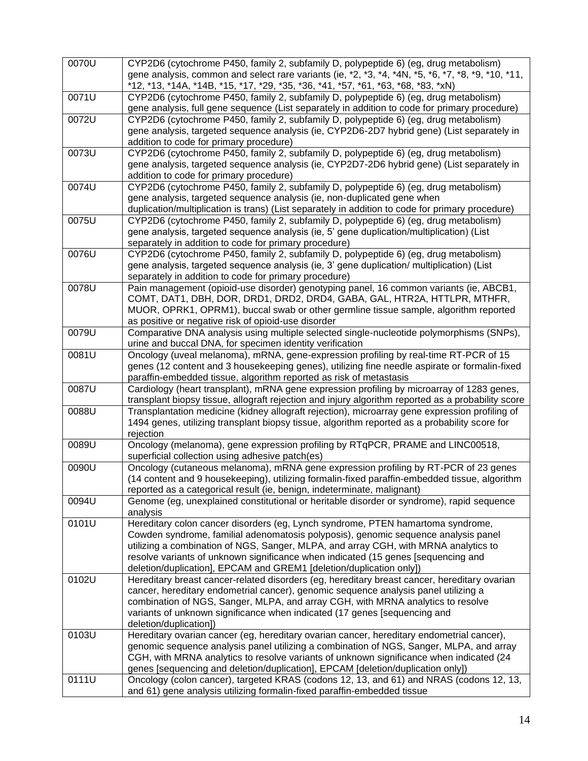| 0070U | CYP2D6 (cytochrome P450, family 2, subfamily D, polypeptide 6) (eg, drug metabolism)<br>gene analysis, common and select rare variants (ie, *2, *3, *4, *4N, *5, *6, *7, *8, *9, *10, *11,<br>*12, *13, *14A, *14B, *15, *17, *29, *35, *36, *41, *57, *61, *63, *68, *83, *xN)                                                                                                                                          |
|-------|--------------------------------------------------------------------------------------------------------------------------------------------------------------------------------------------------------------------------------------------------------------------------------------------------------------------------------------------------------------------------------------------------------------------------|
| 0071U | CYP2D6 (cytochrome P450, family 2, subfamily D, polypeptide 6) (eg, drug metabolism)<br>gene analysis, full gene sequence (List separately in addition to code for primary procedure)                                                                                                                                                                                                                                    |
| 0072U | CYP2D6 (cytochrome P450, family 2, subfamily D, polypeptide 6) (eg, drug metabolism)<br>gene analysis, targeted sequence analysis (ie, CYP2D6-2D7 hybrid gene) (List separately in<br>addition to code for primary procedure)                                                                                                                                                                                            |
| 0073U | CYP2D6 (cytochrome P450, family 2, subfamily D, polypeptide 6) (eg, drug metabolism)<br>gene analysis, targeted sequence analysis (ie, CYP2D7-2D6 hybrid gene) (List separately in<br>addition to code for primary procedure)                                                                                                                                                                                            |
| 0074U | CYP2D6 (cytochrome P450, family 2, subfamily D, polypeptide 6) (eg, drug metabolism)<br>gene analysis, targeted sequence analysis (ie, non-duplicated gene when<br>duplication/multiplication is trans) (List separately in addition to code for primary procedure)                                                                                                                                                      |
| 0075U | CYP2D6 (cytochrome P450, family 2, subfamily D, polypeptide 6) (eg, drug metabolism)<br>gene analysis, targeted sequence analysis (ie, 5' gene duplication/multiplication) (List<br>separately in addition to code for primary procedure)                                                                                                                                                                                |
| 0076U | CYP2D6 (cytochrome P450, family 2, subfamily D, polypeptide 6) (eg, drug metabolism)<br>gene analysis, targeted sequence analysis (ie, 3' gene duplication/ multiplication) (List<br>separately in addition to code for primary procedure)                                                                                                                                                                               |
| 0078U | Pain management (opioid-use disorder) genotyping panel, 16 common variants (ie, ABCB1,<br>COMT, DAT1, DBH, DOR, DRD1, DRD2, DRD4, GABA, GAL, HTR2A, HTTLPR, MTHFR,<br>MUOR, OPRK1, OPRM1), buccal swab or other germline tissue sample, algorithm reported<br>as positive or negative risk of opioid-use disorder                                                                                                        |
| 0079U | Comparative DNA analysis using multiple selected single-nucleotide polymorphisms (SNPs),<br>urine and buccal DNA, for specimen identity verification                                                                                                                                                                                                                                                                     |
| 0081U | Oncology (uveal melanoma), mRNA, gene-expression profiling by real-time RT-PCR of 15<br>genes (12 content and 3 housekeeping genes), utilizing fine needle aspirate or formalin-fixed<br>paraffin-embedded tissue, algorithm reported as risk of metastasis                                                                                                                                                              |
| 0087U | Cardiology (heart transplant), mRNA gene expression profiling by microarray of 1283 genes,<br>transplant biopsy tissue, allograft rejection and injury algorithm reported as a probability score                                                                                                                                                                                                                         |
| 0088U | Transplantation medicine (kidney allograft rejection), microarray gene expression profiling of<br>1494 genes, utilizing transplant biopsy tissue, algorithm reported as a probability score for<br>rejection                                                                                                                                                                                                             |
| 0089U | Oncology (melanoma), gene expression profiling by RTqPCR, PRAME and LINC00518,<br>superficial collection using adhesive patch(es)                                                                                                                                                                                                                                                                                        |
| 0090U | Oncology (cutaneous melanoma), mRNA gene expression profiling by RT-PCR of 23 genes<br>(14 content and 9 housekeeping), utilizing formalin-fixed paraffin-embedded tissue, algorithm<br>reported as a categorical result (ie, benign, indeterminate, malignant)                                                                                                                                                          |
| 0094U | Genome (eg, unexplained constitutional or heritable disorder or syndrome), rapid sequence<br>analysis                                                                                                                                                                                                                                                                                                                    |
| 0101U | Hereditary colon cancer disorders (eg, Lynch syndrome, PTEN hamartoma syndrome,<br>Cowden syndrome, familial adenomatosis polyposis), genomic sequence analysis panel<br>utilizing a combination of NGS, Sanger, MLPA, and array CGH, with MRNA analytics to<br>resolve variants of unknown significance when indicated (15 genes [sequencing and<br>deletion/duplication], EPCAM and GREM1 [deletion/duplication only]) |
| 0102U | Hereditary breast cancer-related disorders (eg, hereditary breast cancer, hereditary ovarian<br>cancer, hereditary endometrial cancer), genomic sequence analysis panel utilizing a<br>combination of NGS, Sanger, MLPA, and array CGH, with MRNA analytics to resolve<br>variants of unknown significance when indicated (17 genes [sequencing and<br>deletion/duplication])                                            |
| 0103U | Hereditary ovarian cancer (eg, hereditary ovarian cancer, hereditary endometrial cancer),<br>genomic sequence analysis panel utilizing a combination of NGS, Sanger, MLPA, and array<br>CGH, with MRNA analytics to resolve variants of unknown significance when indicated (24<br>genes [sequencing and deletion/duplication], EPCAM [deletion/duplication only])                                                       |
| 0111U | Oncology (colon cancer), targeted KRAS (codons 12, 13, and 61) and NRAS (codons 12, 13,<br>and 61) gene analysis utilizing formalin-fixed paraffin-embedded tissue                                                                                                                                                                                                                                                       |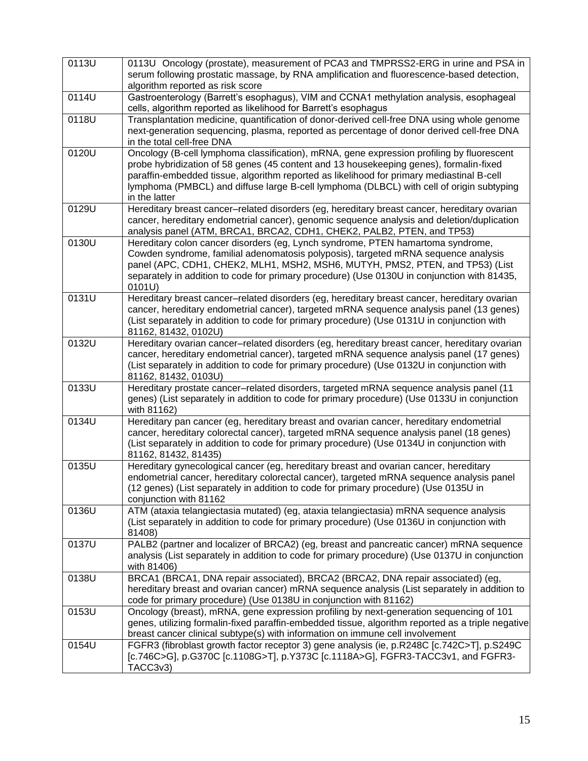| 0113U | 0113U Oncology (prostate), measurement of PCA3 and TMPRSS2-ERG in urine and PSA in<br>serum following prostatic massage, by RNA amplification and fluorescence-based detection,<br>algorithm reported as risk score                                                                                                                                                                           |
|-------|-----------------------------------------------------------------------------------------------------------------------------------------------------------------------------------------------------------------------------------------------------------------------------------------------------------------------------------------------------------------------------------------------|
| 0114U | Gastroenterology (Barrett's esophagus), VIM and CCNA1 methylation analysis, esophageal<br>cells, algorithm reported as likelihood for Barrett's esophagus                                                                                                                                                                                                                                     |
| 0118U | Transplantation medicine, quantification of donor-derived cell-free DNA using whole genome<br>next-generation sequencing, plasma, reported as percentage of donor derived cell-free DNA<br>in the total cell-free DNA                                                                                                                                                                         |
| 0120U | Oncology (B-cell lymphoma classification), mRNA, gene expression profiling by fluorescent<br>probe hybridization of 58 genes (45 content and 13 housekeeping genes), formalin-fixed<br>paraffin-embedded tissue, algorithm reported as likelihood for primary mediastinal B-cell<br>lymphoma (PMBCL) and diffuse large B-cell lymphoma (DLBCL) with cell of origin subtyping<br>in the latter |
| 0129U | Hereditary breast cancer-related disorders (eg, hereditary breast cancer, hereditary ovarian<br>cancer, hereditary endometrial cancer), genomic sequence analysis and deletion/duplication<br>analysis panel (ATM, BRCA1, BRCA2, CDH1, CHEK2, PALB2, PTEN, and TP53)                                                                                                                          |
| 0130U | Hereditary colon cancer disorders (eg, Lynch syndrome, PTEN hamartoma syndrome,<br>Cowden syndrome, familial adenomatosis polyposis), targeted mRNA sequence analysis<br>panel (APC, CDH1, CHEK2, MLH1, MSH2, MSH6, MUTYH, PMS2, PTEN, and TP53) (List<br>separately in addition to code for primary procedure) (Use 0130U in conjunction with 81435,<br>0101U)                               |
| 0131U | Hereditary breast cancer-related disorders (eg, hereditary breast cancer, hereditary ovarian<br>cancer, hereditary endometrial cancer), targeted mRNA sequence analysis panel (13 genes)<br>(List separately in addition to code for primary procedure) (Use 0131U in conjunction with<br>81162, 81432, 0102U)                                                                                |
| 0132U | Hereditary ovarian cancer-related disorders (eg, hereditary breast cancer, hereditary ovarian<br>cancer, hereditary endometrial cancer), targeted mRNA sequence analysis panel (17 genes)<br>(List separately in addition to code for primary procedure) (Use 0132U in conjunction with<br>81162, 81432, 0103U)                                                                               |
| 0133U | Hereditary prostate cancer-related disorders, targeted mRNA sequence analysis panel (11<br>genes) (List separately in addition to code for primary procedure) (Use 0133U in conjunction<br>with 81162)                                                                                                                                                                                        |
| 0134U | Hereditary pan cancer (eg, hereditary breast and ovarian cancer, hereditary endometrial<br>cancer, hereditary colorectal cancer), targeted mRNA sequence analysis panel (18 genes)<br>(List separately in addition to code for primary procedure) (Use 0134U in conjunction with<br>81162, 81432, 81435)                                                                                      |
| 0135U | Hereditary gynecological cancer (eg, hereditary breast and ovarian cancer, hereditary<br>endometrial cancer, hereditary colorectal cancer), targeted mRNA sequence analysis panel<br>(12 genes) (List separately in addition to code for primary procedure) (Use 0135U in<br>conjunction with 81162                                                                                           |
| 0136U | ATM (ataxia telangiectasia mutated) (eg, ataxia telangiectasia) mRNA sequence analysis<br>(List separately in addition to code for primary procedure) (Use 0136U in conjunction with<br>81408)                                                                                                                                                                                                |
| 0137U | PALB2 (partner and localizer of BRCA2) (eg, breast and pancreatic cancer) mRNA sequence<br>analysis (List separately in addition to code for primary procedure) (Use 0137U in conjunction<br>with 81406)                                                                                                                                                                                      |
| 0138U | BRCA1 (BRCA1, DNA repair associated), BRCA2 (BRCA2, DNA repair associated) (eg,<br>hereditary breast and ovarian cancer) mRNA sequence analysis (List separately in addition to<br>code for primary procedure) (Use 0138U in conjunction with 81162)                                                                                                                                          |
| 0153U | Oncology (breast), mRNA, gene expression profiling by next-generation sequencing of 101<br>genes, utilizing formalin-fixed paraffin-embedded tissue, algorithm reported as a triple negative<br>breast cancer clinical subtype(s) with information on immune cell involvement                                                                                                                 |
| 0154U | FGFR3 (fibroblast growth factor receptor 3) gene analysis (ie, p.R248C [c.742C>T], p.S249C<br>[c.746C>G], p.G370C [c.1108G>T], p.Y373C [c.1118A>G], FGFR3-TACC3v1, and FGFR3-<br>TACC3v3)                                                                                                                                                                                                     |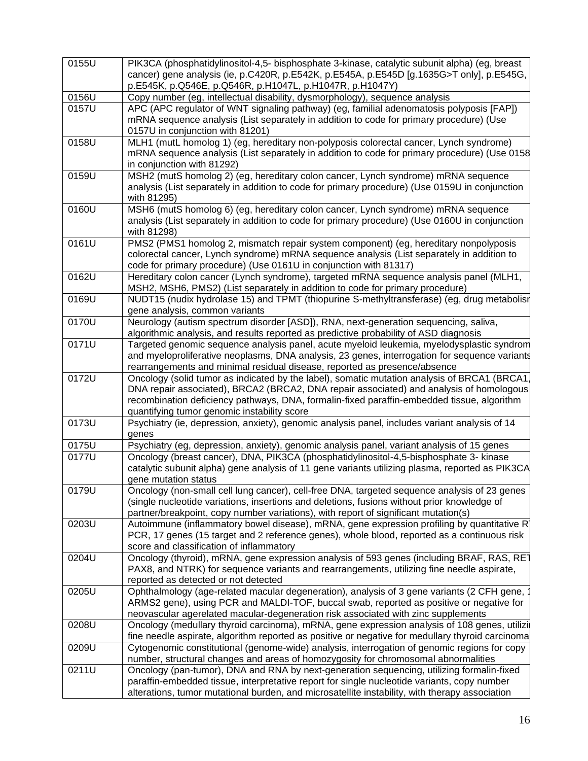| 0155U | PIK3CA (phosphatidylinositol-4,5- bisphosphate 3-kinase, catalytic subunit alpha) (eg, breast<br>cancer) gene analysis (ie, p.C420R, p.E542K, p.E545A, p.E545D [g.1635G>T only], p.E545G, |
|-------|-------------------------------------------------------------------------------------------------------------------------------------------------------------------------------------------|
|       | p.E545K, p.Q546E, p.Q546R, p.H1047L, p.H1047R, p.H1047Y)                                                                                                                                  |
| 0156U | Copy number (eg, intellectual disability, dysmorphology), sequence analysis                                                                                                               |
| 0157U | APC (APC regulator of WNT signaling pathway) (eg, familial adenomatosis polyposis [FAP])                                                                                                  |
|       | mRNA sequence analysis (List separately in addition to code for primary procedure) (Use<br>0157U in conjunction with 81201)                                                               |
| 0158U | MLH1 (mutL homolog 1) (eg, hereditary non-polyposis colorectal cancer, Lynch syndrome)                                                                                                    |
|       | mRNA sequence analysis (List separately in addition to code for primary procedure) (Use 0158<br>in conjunction with 81292)                                                                |
| 0159U | MSH2 (mutS homolog 2) (eg, hereditary colon cancer, Lynch syndrome) mRNA sequence                                                                                                         |
|       | analysis (List separately in addition to code for primary procedure) (Use 0159U in conjunction<br>with 81295)                                                                             |
| 0160U | MSH6 (mutS homolog 6) (eg, hereditary colon cancer, Lynch syndrome) mRNA sequence                                                                                                         |
|       | analysis (List separately in addition to code for primary procedure) (Use 0160U in conjunction<br>with 81298)                                                                             |
| 0161U | PMS2 (PMS1 homolog 2, mismatch repair system component) (eg, hereditary nonpolyposis                                                                                                      |
|       | colorectal cancer, Lynch syndrome) mRNA sequence analysis (List separately in addition to                                                                                                 |
|       | code for primary procedure) (Use 0161U in conjunction with 81317)                                                                                                                         |
| 0162U | Hereditary colon cancer (Lynch syndrome), targeted mRNA sequence analysis panel (MLH1,<br>MSH2, MSH6, PMS2) (List separately in addition to code for primary procedure)                   |
| 0169U | NUDT15 (nudix hydrolase 15) and TPMT (thiopurine S-methyltransferase) (eg, drug metabolisr                                                                                                |
|       | gene analysis, common variants                                                                                                                                                            |
| 0170U | Neurology (autism spectrum disorder [ASD]), RNA, next-generation sequencing, saliva,                                                                                                      |
|       | algorithmic analysis, and results reported as predictive probability of ASD diagnosis                                                                                                     |
| 0171U | Targeted genomic sequence analysis panel, acute myeloid leukemia, myelodysplastic syndrom                                                                                                 |
|       | and myeloproliferative neoplasms, DNA analysis, 23 genes, interrogation for sequence variants                                                                                             |
|       | rearrangements and minimal residual disease, reported as presence/absence                                                                                                                 |
| 0172U | Oncology (solid tumor as indicated by the label), somatic mutation analysis of BRCA1 (BRCA1,                                                                                              |
|       | DNA repair associated), BRCA2 (BRCA2, DNA repair associated) and analysis of homologous                                                                                                   |
|       | recombination deficiency pathways, DNA, formalin-fixed paraffin-embedded tissue, algorithm                                                                                                |
|       | quantifying tumor genomic instability score                                                                                                                                               |
| 0173U | Psychiatry (ie, depression, anxiety), genomic analysis panel, includes variant analysis of 14<br>genes                                                                                    |
| 0175U | Psychiatry (eg, depression, anxiety), genomic analysis panel, variant analysis of 15 genes                                                                                                |
| 0177U | Oncology (breast cancer), DNA, PIK3CA (phosphatidylinositol-4,5-bisphosphate 3- kinase                                                                                                    |
|       | catalytic subunit alpha) gene analysis of 11 gene variants utilizing plasma, reported as PIK3CA                                                                                           |
|       | gene mutation status                                                                                                                                                                      |
| 0179U | Oncology (non-small cell lung cancer), cell-free DNA, targeted sequence analysis of 23 genes                                                                                              |
|       | (single nucleotide variations, insertions and deletions, fusions without prior knowledge of                                                                                               |
|       | partner/breakpoint, copy number variations), with report of significant mutation(s)                                                                                                       |
| 0203U | Autoimmune (inflammatory bowel disease), mRNA, gene expression profiling by quantitative R                                                                                                |
|       | PCR, 17 genes (15 target and 2 reference genes), whole blood, reported as a continuous risk                                                                                               |
|       | score and classification of inflammatory                                                                                                                                                  |
| 0204U | Oncology (thyroid), mRNA, gene expression analysis of 593 genes (including BRAF, RAS, RET                                                                                                 |
|       | PAX8, and NTRK) for sequence variants and rearrangements, utilizing fine needle aspirate,                                                                                                 |
|       | reported as detected or not detected                                                                                                                                                      |
| 0205U | Ophthalmology (age-related macular degeneration), analysis of 3 gene variants (2 CFH gene,                                                                                                |
|       | ARMS2 gene), using PCR and MALDI-TOF, buccal swab, reported as positive or negative for                                                                                                   |
|       | neovascular agerelated macular-degeneration risk associated with zinc supplements                                                                                                         |
| 0208U | Oncology (medullary thyroid carcinoma), mRNA, gene expression analysis of 108 genes, utilizi                                                                                              |
|       | fine needle aspirate, algorithm reported as positive or negative for medullary thyroid carcinoma                                                                                          |
| 0209U | Cytogenomic constitutional (genome-wide) analysis, interrogation of genomic regions for copy                                                                                              |
|       | number, structural changes and areas of homozygosity for chromosomal abnormalities                                                                                                        |
| 0211U | Oncology (pan-tumor), DNA and RNA by next-generation sequencing, utilizing formalin-fixed                                                                                                 |
|       | paraffin-embedded tissue, interpretative report for single nucleotide variants, copy number                                                                                               |
|       | alterations, tumor mutational burden, and microsatellite instability, with therapy association                                                                                            |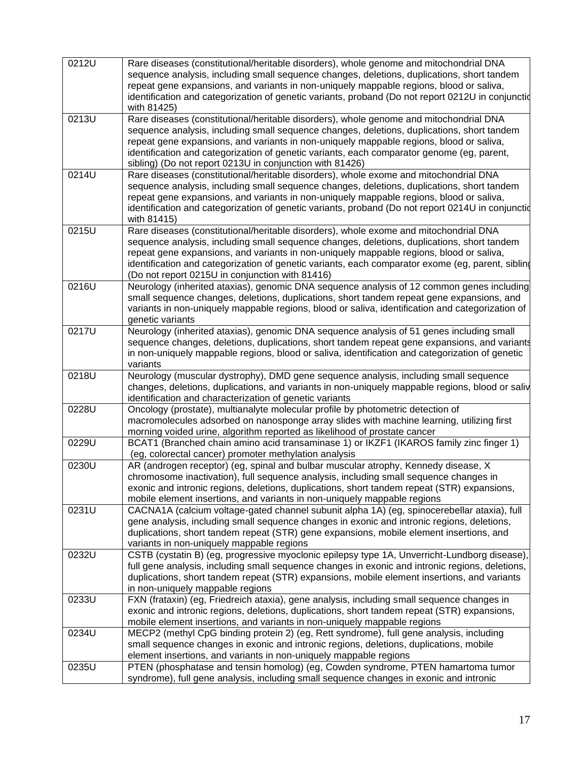| 0212U | Rare diseases (constitutional/heritable disorders), whole genome and mitochondrial DNA<br>sequence analysis, including small sequence changes, deletions, duplications, short tandem<br>repeat gene expansions, and variants in non-uniquely mappable regions, blood or saliva,<br>identification and categorization of genetic variants, proband (Do not report 0212U in conjunctid<br>with 81425)                                       |
|-------|-------------------------------------------------------------------------------------------------------------------------------------------------------------------------------------------------------------------------------------------------------------------------------------------------------------------------------------------------------------------------------------------------------------------------------------------|
| 0213U | Rare diseases (constitutional/heritable disorders), whole genome and mitochondrial DNA<br>sequence analysis, including small sequence changes, deletions, duplications, short tandem<br>repeat gene expansions, and variants in non-uniquely mappable regions, blood or saliva,<br>identification and categorization of genetic variants, each comparator genome (eg, parent,<br>sibling) (Do not report 0213U in conjunction with 81426) |
| 0214U | Rare diseases (constitutional/heritable disorders), whole exome and mitochondrial DNA<br>sequence analysis, including small sequence changes, deletions, duplications, short tandem<br>repeat gene expansions, and variants in non-uniquely mappable regions, blood or saliva,<br>identification and categorization of genetic variants, proband (Do not report 0214U in conjunctid<br>with 81415)                                        |
| 0215U | Rare diseases (constitutional/heritable disorders), whole exome and mitochondrial DNA<br>sequence analysis, including small sequence changes, deletions, duplications, short tandem<br>repeat gene expansions, and variants in non-uniquely mappable regions, blood or saliva,<br>identification and categorization of genetic variants, each comparator exome (eg, parent, sibling<br>(Do not report 0215U in conjunction with 81416)    |
| 0216U | Neurology (inherited ataxias), genomic DNA sequence analysis of 12 common genes including<br>small sequence changes, deletions, duplications, short tandem repeat gene expansions, and<br>variants in non-uniquely mappable regions, blood or saliva, identification and categorization of<br>genetic variants                                                                                                                            |
| 0217U | Neurology (inherited ataxias), genomic DNA sequence analysis of 51 genes including small<br>sequence changes, deletions, duplications, short tandem repeat gene expansions, and variants<br>in non-uniquely mappable regions, blood or saliva, identification and categorization of genetic<br>variants                                                                                                                                   |
| 0218U | Neurology (muscular dystrophy), DMD gene sequence analysis, including small sequence<br>changes, deletions, duplications, and variants in non-uniquely mappable regions, blood or saliv<br>identification and characterization of genetic variants                                                                                                                                                                                        |
| 0228U | Oncology (prostate), multianalyte molecular profile by photometric detection of<br>macromolecules adsorbed on nanosponge array slides with machine learning, utilizing first<br>morning voided urine, algorithm reported as likelihood of prostate cancer                                                                                                                                                                                 |
| 0229U | BCAT1 (Branched chain amino acid transaminase 1) or IKZF1 (IKAROS family zinc finger 1)<br>(eg, colorectal cancer) promoter methylation analysis                                                                                                                                                                                                                                                                                          |
| 0230U | AR (androgen receptor) (eg, spinal and bulbar muscular atrophy, Kennedy disease, X<br>chromosome inactivation), full sequence analysis, including small sequence changes in<br>exonic and intronic regions, deletions, duplications, short tandem repeat (STR) expansions,<br>mobile element insertions, and variants in non-uniquely mappable regions                                                                                    |
| 0231U | CACNA1A (calcium voltage-gated channel subunit alpha 1A) (eg, spinocerebellar ataxia), full<br>gene analysis, including small sequence changes in exonic and intronic regions, deletions,<br>duplications, short tandem repeat (STR) gene expansions, mobile element insertions, and<br>variants in non-uniquely mappable regions                                                                                                         |
| 0232U | CSTB (cystatin B) (eg, progressive myoclonic epilepsy type 1A, Unverricht-Lundborg disease),<br>full gene analysis, including small sequence changes in exonic and intronic regions, deletions,<br>duplications, short tandem repeat (STR) expansions, mobile element insertions, and variants<br>in non-uniquely mappable regions                                                                                                        |
| 0233U | FXN (frataxin) (eg, Friedreich ataxia), gene analysis, including small sequence changes in<br>exonic and intronic regions, deletions, duplications, short tandem repeat (STR) expansions,<br>mobile element insertions, and variants in non-uniquely mappable regions                                                                                                                                                                     |
| 0234U | MECP2 (methyl CpG binding protein 2) (eg, Rett syndrome), full gene analysis, including<br>small sequence changes in exonic and intronic regions, deletions, duplications, mobile<br>element insertions, and variants in non-uniquely mappable regions                                                                                                                                                                                    |
| 0235U | PTEN (phosphatase and tensin homolog) (eg, Cowden syndrome, PTEN hamartoma tumor<br>syndrome), full gene analysis, including small sequence changes in exonic and intronic                                                                                                                                                                                                                                                                |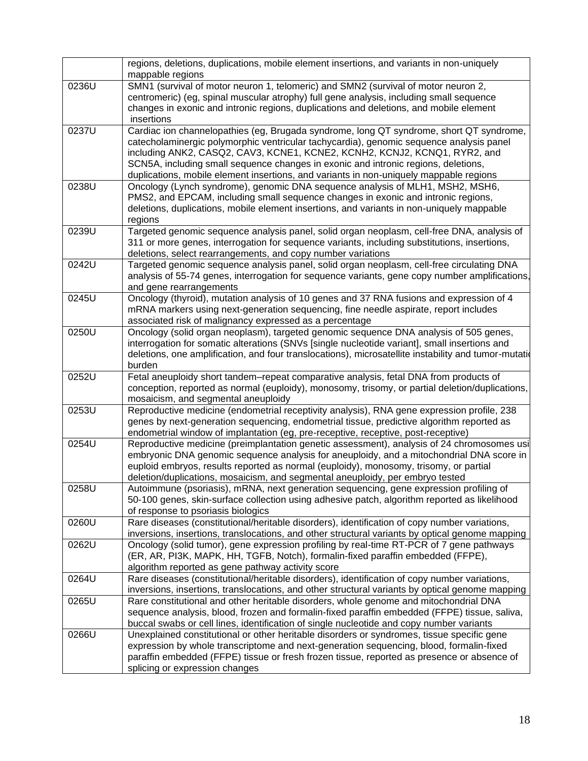|       | regions, deletions, duplications, mobile element insertions, and variants in non-uniquely<br>mappable regions                                                                                                                                                                                                                                                                                                                                   |
|-------|-------------------------------------------------------------------------------------------------------------------------------------------------------------------------------------------------------------------------------------------------------------------------------------------------------------------------------------------------------------------------------------------------------------------------------------------------|
| 0236U | SMN1 (survival of motor neuron 1, telomeric) and SMN2 (survival of motor neuron 2,<br>centromeric) (eg, spinal muscular atrophy) full gene analysis, including small sequence<br>changes in exonic and intronic regions, duplications and deletions, and mobile element                                                                                                                                                                         |
|       | insertions                                                                                                                                                                                                                                                                                                                                                                                                                                      |
| 0237U | Cardiac ion channelopathies (eg, Brugada syndrome, long QT syndrome, short QT syndrome,<br>catecholaminergic polymorphic ventricular tachycardia), genomic sequence analysis panel<br>including ANK2, CASQ2, CAV3, KCNE1, KCNE2, KCNH2, KCNJ2, KCNQ1, RYR2, and<br>SCN5A, including small sequence changes in exonic and intronic regions, deletions,<br>duplications, mobile element insertions, and variants in non-uniquely mappable regions |
| 0238U | Oncology (Lynch syndrome), genomic DNA sequence analysis of MLH1, MSH2, MSH6,<br>PMS2, and EPCAM, including small sequence changes in exonic and intronic regions,<br>deletions, duplications, mobile element insertions, and variants in non-uniquely mappable<br>regions                                                                                                                                                                      |
| 0239U | Targeted genomic sequence analysis panel, solid organ neoplasm, cell-free DNA, analysis of<br>311 or more genes, interrogation for sequence variants, including substitutions, insertions,<br>deletions, select rearrangements, and copy number variations                                                                                                                                                                                      |
| 0242U | Targeted genomic sequence analysis panel, solid organ neoplasm, cell-free circulating DNA<br>analysis of 55-74 genes, interrogation for sequence variants, gene copy number amplifications,<br>and gene rearrangements                                                                                                                                                                                                                          |
| 0245U | Oncology (thyroid), mutation analysis of 10 genes and 37 RNA fusions and expression of 4<br>mRNA markers using next-generation sequencing, fine needle aspirate, report includes<br>associated risk of malignancy expressed as a percentage                                                                                                                                                                                                     |
| 0250U | Oncology (solid organ neoplasm), targeted genomic sequence DNA analysis of 505 genes,<br>interrogation for somatic alterations (SNVs [single nucleotide variant], small insertions and<br>deletions, one amplification, and four translocations), microsatellite instability and tumor-mutation<br>burden                                                                                                                                       |
| 0252U | Fetal aneuploidy short tandem-repeat comparative analysis, fetal DNA from products of<br>conception, reported as normal (euploidy), monosomy, trisomy, or partial deletion/duplications,<br>mosaicism, and segmental aneuploidy                                                                                                                                                                                                                 |
| 0253U | Reproductive medicine (endometrial receptivity analysis), RNA gene expression profile, 238<br>genes by next-generation sequencing, endometrial tissue, predictive algorithm reported as<br>endometrial window of implantation (eg, pre-receptive, receptive, post-receptive)                                                                                                                                                                    |
| 0254U | Reproductive medicine (preimplantation genetic assessment), analysis of 24 chromosomes usi<br>embryonic DNA genomic sequence analysis for aneuploidy, and a mitochondrial DNA score in<br>euploid embryos, results reported as normal (euploidy), monosomy, trisomy, or partial<br>deletion/duplications, mosaicism, and segmental aneuploidy, per embryo tested                                                                                |
| 0258U | Autoimmune (psoriasis), mRNA, next generation sequencing, gene expression profiling of<br>50-100 genes, skin-surface collection using adhesive patch, algorithm reported as likelihood<br>of response to psoriasis biologics                                                                                                                                                                                                                    |
| 0260U | Rare diseases (constitutional/heritable disorders), identification of copy number variations,<br>inversions, insertions, translocations, and other structural variants by optical genome mapping                                                                                                                                                                                                                                                |
| 0262U | Oncology (solid tumor), gene expression profiling by real-time RT-PCR of 7 gene pathways<br>(ER, AR, PI3K, MAPK, HH, TGFB, Notch), formalin-fixed paraffin embedded (FFPE),<br>algorithm reported as gene pathway activity score                                                                                                                                                                                                                |
| 0264U | Rare diseases (constitutional/heritable disorders), identification of copy number variations,<br>inversions, insertions, translocations, and other structural variants by optical genome mapping                                                                                                                                                                                                                                                |
| 0265U | Rare constitutional and other heritable disorders, whole genome and mitochondrial DNA<br>sequence analysis, blood, frozen and formalin-fixed paraffin embedded (FFPE) tissue, saliva,<br>buccal swabs or cell lines, identification of single nucleotide and copy number variants                                                                                                                                                               |
| 0266U | Unexplained constitutional or other heritable disorders or syndromes, tissue specific gene<br>expression by whole transcriptome and next-generation sequencing, blood, formalin-fixed<br>paraffin embedded (FFPE) tissue or fresh frozen tissue, reported as presence or absence of<br>splicing or expression changes                                                                                                                           |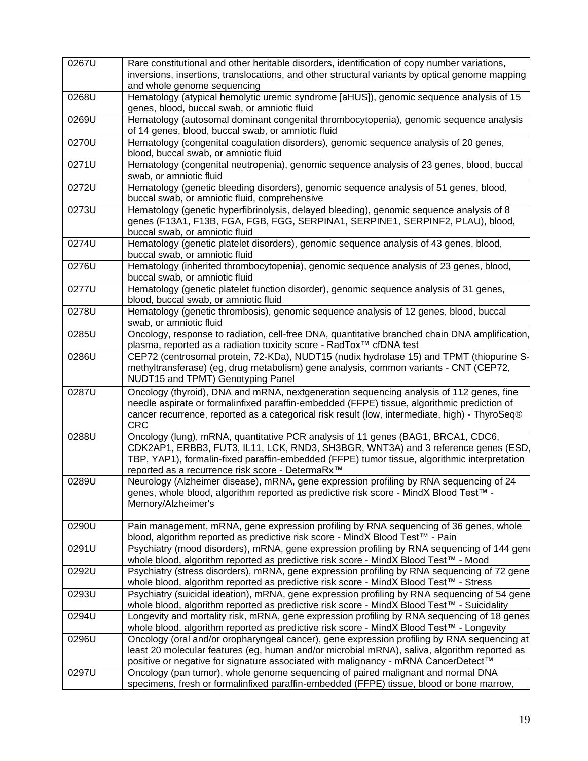| 0267U | Rare constitutional and other heritable disorders, identification of copy number variations,<br>inversions, insertions, translocations, and other structural variants by optical genome mapping<br>and whole genome sequencing                                                                                            |
|-------|---------------------------------------------------------------------------------------------------------------------------------------------------------------------------------------------------------------------------------------------------------------------------------------------------------------------------|
| 0268U | Hematology (atypical hemolytic uremic syndrome [aHUS]), genomic sequence analysis of 15<br>genes, blood, buccal swab, or amniotic fluid                                                                                                                                                                                   |
| 0269U | Hematology (autosomal dominant congenital thrombocytopenia), genomic sequence analysis<br>of 14 genes, blood, buccal swab, or amniotic fluid                                                                                                                                                                              |
| 0270U | Hematology (congenital coagulation disorders), genomic sequence analysis of 20 genes,<br>blood, buccal swab, or amniotic fluid                                                                                                                                                                                            |
| 0271U | Hematology (congenital neutropenia), genomic sequence analysis of 23 genes, blood, buccal<br>swab, or amniotic fluid                                                                                                                                                                                                      |
| 0272U | Hematology (genetic bleeding disorders), genomic sequence analysis of 51 genes, blood,<br>buccal swab, or amniotic fluid, comprehensive                                                                                                                                                                                   |
| 0273U | Hematology (genetic hyperfibrinolysis, delayed bleeding), genomic sequence analysis of 8<br>genes (F13A1, F13B, FGA, FGB, FGG, SERPINA1, SERPINE1, SERPINF2, PLAU), blood,<br>buccal swab, or amniotic fluid                                                                                                              |
| 0274U | Hematology (genetic platelet disorders), genomic sequence analysis of 43 genes, blood,<br>buccal swab, or amniotic fluid                                                                                                                                                                                                  |
| 0276U | Hematology (inherited thrombocytopenia), genomic sequence analysis of 23 genes, blood,<br>buccal swab, or amniotic fluid                                                                                                                                                                                                  |
| 0277U | Hematology (genetic platelet function disorder), genomic sequence analysis of 31 genes,<br>blood, buccal swab, or amniotic fluid                                                                                                                                                                                          |
| 0278U | Hematology (genetic thrombosis), genomic sequence analysis of 12 genes, blood, buccal<br>swab, or amniotic fluid                                                                                                                                                                                                          |
| 0285U | Oncology, response to radiation, cell-free DNA, quantitative branched chain DNA amplification,<br>plasma, reported as a radiation toxicity score - RadTox™ cfDNA test                                                                                                                                                     |
| 0286U | CEP72 (centrosomal protein, 72-KDa), NUDT15 (nudix hydrolase 15) and TPMT (thiopurine S-<br>methyltransferase) (eg, drug metabolism) gene analysis, common variants - CNT (CEP72,<br>NUDT15 and TPMT) Genotyping Panel                                                                                                    |
| 0287U | Oncology (thyroid), DNA and mRNA, nextgeneration sequencing analysis of 112 genes, fine<br>needle aspirate or formalinfixed paraffin-embedded (FFPE) tissue, algorithmic prediction of<br>cancer recurrence, reported as a categorical risk result (low, intermediate, high) - ThyroSeq®<br><b>CRC</b>                    |
| 0288U | Oncology (lung), mRNA, quantitative PCR analysis of 11 genes (BAG1, BRCA1, CDC6,<br>CDK2AP1, ERBB3, FUT3, IL11, LCK, RND3, SH3BGR, WNT3A) and 3 reference genes (ESD,<br>TBP, YAP1), formalin-fixed paraffin-embedded (FFPE) tumor tissue, algorithmic interpretation<br>reported as a recurrence risk score - DetermaRx™ |
| 0289U | Neurology (Alzheimer disease), mRNA, gene expression profiling by RNA sequencing of 24<br>genes, whole blood, algorithm reported as predictive risk score - MindX Blood Test™ -<br>Memory/Alzheimer's                                                                                                                     |
| 0290U | Pain management, mRNA, gene expression profiling by RNA sequencing of 36 genes, whole<br>blood, algorithm reported as predictive risk score - MindX Blood Test™ - Pain                                                                                                                                                    |
| 0291U | Psychiatry (mood disorders), mRNA, gene expression profiling by RNA sequencing of 144 gene<br>whole blood, algorithm reported as predictive risk score - MindX Blood Test™ - Mood                                                                                                                                         |
| 0292U | Psychiatry (stress disorders), mRNA, gene expression profiling by RNA sequencing of 72 gene<br>whole blood, algorithm reported as predictive risk score - MindX Blood Test™ - Stress                                                                                                                                      |
| 0293U | Psychiatry (suicidal ideation), mRNA, gene expression profiling by RNA sequencing of 54 gene<br>whole blood, algorithm reported as predictive risk score - MindX Blood Test™ - Suicidality                                                                                                                                |
| 0294U | Longevity and mortality risk, mRNA, gene expression profiling by RNA sequencing of 18 genes<br>whole blood, algorithm reported as predictive risk score - MindX Blood Test™ - Longevity                                                                                                                                   |
| 0296U | Oncology (oral and/or oropharyngeal cancer), gene expression profiling by RNA sequencing at<br>least 20 molecular features (eg, human and/or microbial mRNA), saliva, algorithm reported as<br>positive or negative for signature associated with malignancy - mRNA CancerDetect™                                         |
| 0297U | Oncology (pan tumor), whole genome sequencing of paired malignant and normal DNA<br>specimens, fresh or formalinfixed paraffin-embedded (FFPE) tissue, blood or bone marrow,                                                                                                                                              |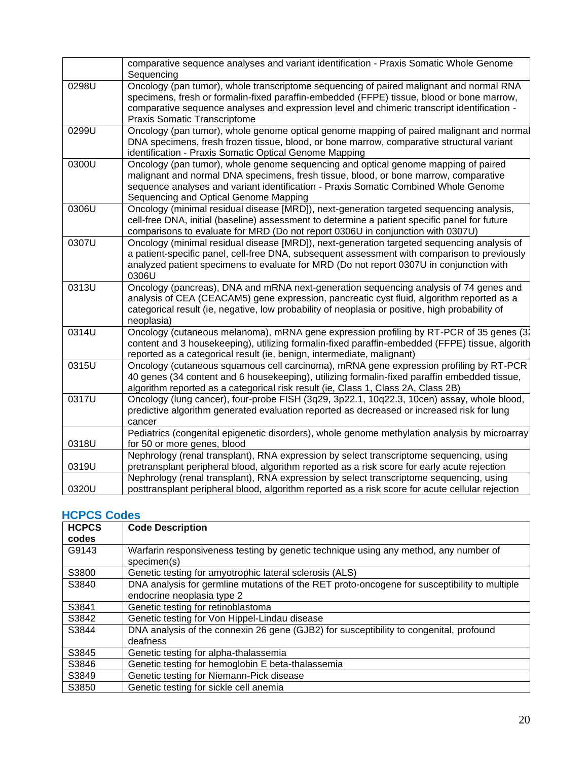|       | comparative sequence analyses and variant identification - Praxis Somatic Whole Genome<br>Sequencing                                                                                                                                                                                                                |
|-------|---------------------------------------------------------------------------------------------------------------------------------------------------------------------------------------------------------------------------------------------------------------------------------------------------------------------|
| 0298U | Oncology (pan tumor), whole transcriptome sequencing of paired malignant and normal RNA<br>specimens, fresh or formalin-fixed paraffin-embedded (FFPE) tissue, blood or bone marrow,<br>comparative sequence analyses and expression level and chimeric transcript identification -<br>Praxis Somatic Transcriptome |
| 0299U | Oncology (pan tumor), whole genome optical genome mapping of paired malignant and normal<br>DNA specimens, fresh frozen tissue, blood, or bone marrow, comparative structural variant<br>identification - Praxis Somatic Optical Genome Mapping                                                                     |
| 0300U | Oncology (pan tumor), whole genome sequencing and optical genome mapping of paired<br>malignant and normal DNA specimens, fresh tissue, blood, or bone marrow, comparative<br>sequence analyses and variant identification - Praxis Somatic Combined Whole Genome<br>Sequencing and Optical Genome Mapping          |
| 0306U | Oncology (minimal residual disease [MRD]), next-generation targeted sequencing analysis,<br>cell-free DNA, initial (baseline) assessment to determine a patient specific panel for future<br>comparisons to evaluate for MRD (Do not report 0306U in conjunction with 0307U)                                        |
| 0307U | Oncology (minimal residual disease [MRD]), next-generation targeted sequencing analysis of<br>a patient-specific panel, cell-free DNA, subsequent assessment with comparison to previously<br>analyzed patient specimens to evaluate for MRD (Do not report 0307U in conjunction with<br>0306U                      |
| 0313U | Oncology (pancreas), DNA and mRNA next-generation sequencing analysis of 74 genes and<br>analysis of CEA (CEACAM5) gene expression, pancreatic cyst fluid, algorithm reported as a<br>categorical result (ie, negative, low probability of neoplasia or positive, high probability of<br>neoplasia)                 |
| 0314U | Oncology (cutaneous melanoma), mRNA gene expression profiling by RT-PCR of 35 genes (32<br>content and 3 housekeeping), utilizing formalin-fixed paraffin-embedded (FFPE) tissue, algorith<br>reported as a categorical result (ie, benign, intermediate, malignant)                                                |
| 0315U | Oncology (cutaneous squamous cell carcinoma), mRNA gene expression profiling by RT-PCR<br>40 genes (34 content and 6 housekeeping), utilizing formalin-fixed paraffin embedded tissue,<br>algorithm reported as a categorical risk result (ie, Class 1, Class 2A, Class 2B)                                         |
| 0317U | Oncology (lung cancer), four-probe FISH (3q29, 3p22.1, 10q22.3, 10cen) assay, whole blood,<br>predictive algorithm generated evaluation reported as decreased or increased risk for lung<br>cancer                                                                                                                  |
| 0318U | Pediatrics (congenital epigenetic disorders), whole genome methylation analysis by microarray<br>for 50 or more genes, blood                                                                                                                                                                                        |
| 0319U | Nephrology (renal transplant), RNA expression by select transcriptome sequencing, using<br>pretransplant peripheral blood, algorithm reported as a risk score for early acute rejection                                                                                                                             |
| 0320U | Nephrology (renal transplant), RNA expression by select transcriptome sequencing, using<br>posttransplant peripheral blood, algorithm reported as a risk score for acute cellular rejection                                                                                                                         |

# **HCPCS Codes**

| <b>HCPCS</b> | <b>Code Description</b>                                                                             |
|--------------|-----------------------------------------------------------------------------------------------------|
| codes        |                                                                                                     |
| G9143        | Warfarin responsiveness testing by genetic technique using any method, any number of<br>specimen(s) |
| S3800        | Genetic testing for amyotrophic lateral sclerosis (ALS)                                             |
| S3840        | DNA analysis for germline mutations of the RET proto-oncogene for susceptibility to multiple        |
|              | endocrine neoplasia type 2                                                                          |
| S3841        | Genetic testing for retinoblastoma                                                                  |
| S3842        | Genetic testing for Von Hippel-Lindau disease                                                       |
| S3844        | DNA analysis of the connexin 26 gene (GJB2) for susceptibility to congenital, profound              |
|              | deafness                                                                                            |
| S3845        | Genetic testing for alpha-thalassemia                                                               |
| S3846        | Genetic testing for hemoglobin E beta-thalassemia                                                   |
| S3849        | Genetic testing for Niemann-Pick disease                                                            |
| S3850        | Genetic testing for sickle cell anemia                                                              |